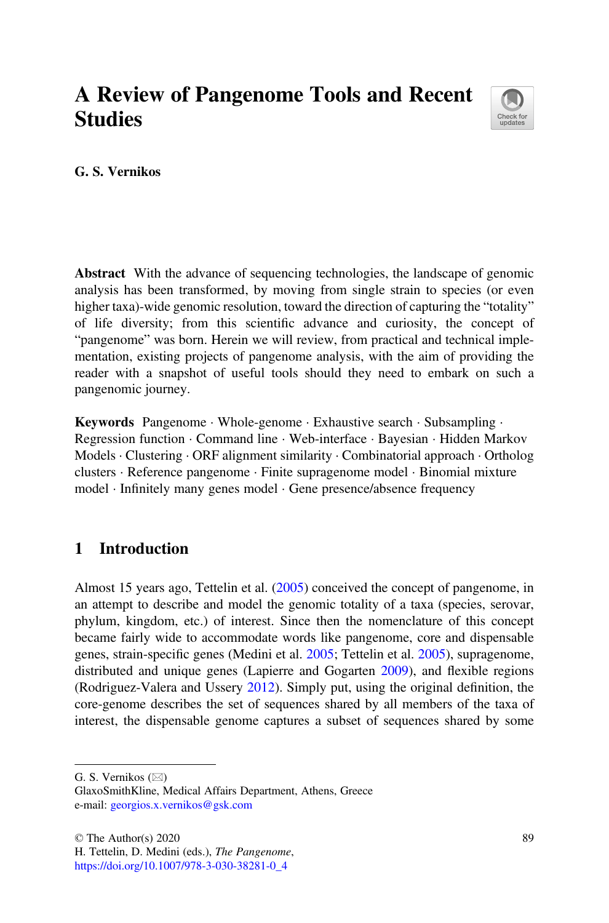# A Review of Pangenome Tools and Recent **Studies**



G. S. Vernikos

Abstract With the advance of sequencing technologies, the landscape of genomic analysis has been transformed, by moving from single strain to species (or even higher taxa)-wide genomic resolution, toward the direction of capturing the "totality" of life diversity; from this scientific advance and curiosity, the concept of "pangenome" was born. Herein we will review, from practical and technical implementation, existing projects of pangenome analysis, with the aim of providing the reader with a snapshot of useful tools should they need to embark on such a pangenomic journey.

Keywords Pangenome · Whole-genome · Exhaustive search · Subsampling · Regression function · Command line · Web-interface · Bayesian · Hidden Markov Models · Clustering · ORF alignment similarity · Combinatorial approach · Ortholog clusters · Reference pangenome · Finite supragenome model · Binomial mixture model · Infinitely many genes model · Gene presence/absence frequency

# 1 Introduction

Almost 15 years ago, Tettelin et al. [\(2005](#page-22-0)) conceived the concept of pangenome, in an attempt to describe and model the genomic totality of a taxa (species, serovar, phylum, kingdom, etc.) of interest. Since then the nomenclature of this concept became fairly wide to accommodate words like pangenome, core and dispensable genes, strain-specific genes (Medini et al. [2005](#page-21-0); Tettelin et al. [2005\)](#page-22-0), supragenome, distributed and unique genes (Lapierre and Gogarten [2009\)](#page-21-1), and flexible regions (Rodriguez-Valera and Ussery [2012](#page-22-1)). Simply put, using the original definition, the core-genome describes the set of sequences shared by all members of the taxa of interest, the dispensable genome captures a subset of sequences shared by some

G. S. Vernikos  $(\boxtimes)$ 

GlaxoSmithKline, Medical Affairs Department, Athens, Greece e-mail: [georgios.x.vernikos@gsk.com](mailto:georgios.x.vernikos@gsk.com)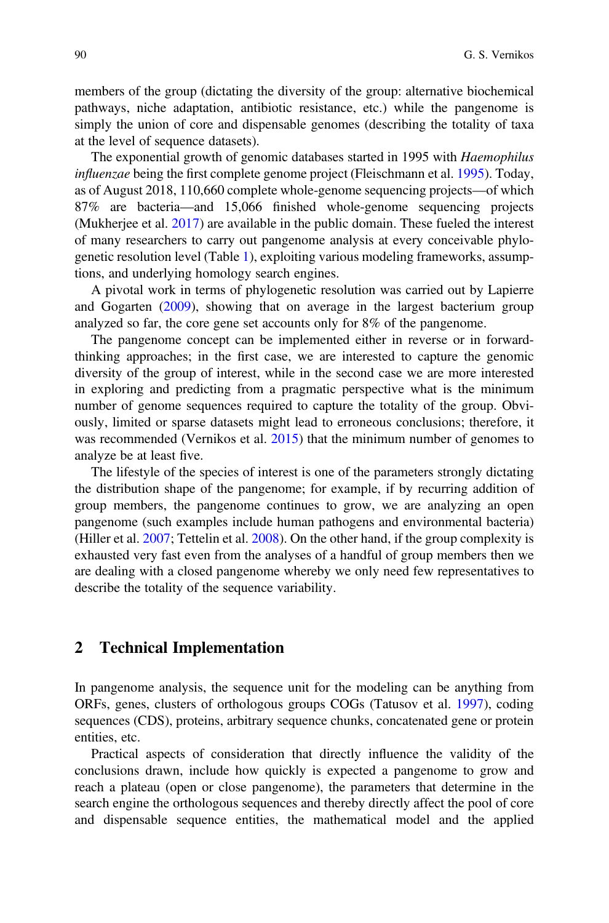members of the group (dictating the diversity of the group: alternative biochemical pathways, niche adaptation, antibiotic resistance, etc.) while the pangenome is simply the union of core and dispensable genomes (describing the totality of taxa at the level of sequence datasets).

The exponential growth of genomic databases started in 1995 with Haemophilus influenzae being the first complete genome project (Fleischmann et al. [1995\)](#page-20-0). Today, as of August 2018, 110,660 complete whole-genome sequencing projects—of which 87% are bacteria—and 15,066 finished whole-genome sequencing projects (Mukherjee et al. [2017\)](#page-21-2) are available in the public domain. These fueled the interest of many researchers to carry out pangenome analysis at every conceivable phylogenetic resolution level (Table [1](#page-2-0)), exploiting various modeling frameworks, assumptions, and underlying homology search engines.

A pivotal work in terms of phylogenetic resolution was carried out by Lapierre and Gogarten [\(2009\)](#page-21-1), showing that on average in the largest bacterium group analyzed so far, the core gene set accounts only for 8% of the pangenome.

The pangenome concept can be implemented either in reverse or in forwardthinking approaches; in the first case, we are interested to capture the genomic diversity of the group of interest, while in the second case we are more interested in exploring and predicting from a pragmatic perspective what is the minimum number of genome sequences required to capture the totality of the group. Obviously, limited or sparse datasets might lead to erroneous conclusions; therefore, it was recommended (Vernikos et al.  $2015$ ) that the minimum number of genomes to analyze be at least five.

The lifestyle of the species of interest is one of the parameters strongly dictating the distribution shape of the pangenome; for example, if by recurring addition of group members, the pangenome continues to grow, we are analyzing an open pangenome (such examples include human pathogens and environmental bacteria) (Hiller et al. [2007](#page-20-1); Tettelin et al. [2008\)](#page-22-2). On the other hand, if the group complexity is exhausted very fast even from the analyses of a handful of group members then we are dealing with a closed pangenome whereby we only need few representatives to describe the totality of the sequence variability.

### 2 Technical Implementation

In pangenome analysis, the sequence unit for the modeling can be anything from ORFs, genes, clusters of orthologous groups COGs (Tatusov et al. [1997](#page-22-3)), coding sequences (CDS), proteins, arbitrary sequence chunks, concatenated gene or protein entities, etc.

Practical aspects of consideration that directly influence the validity of the conclusions drawn, include how quickly is expected a pangenome to grow and reach a plateau (open or close pangenome), the parameters that determine in the search engine the orthologous sequences and thereby directly affect the pool of core and dispensable sequence entities, the mathematical model and the applied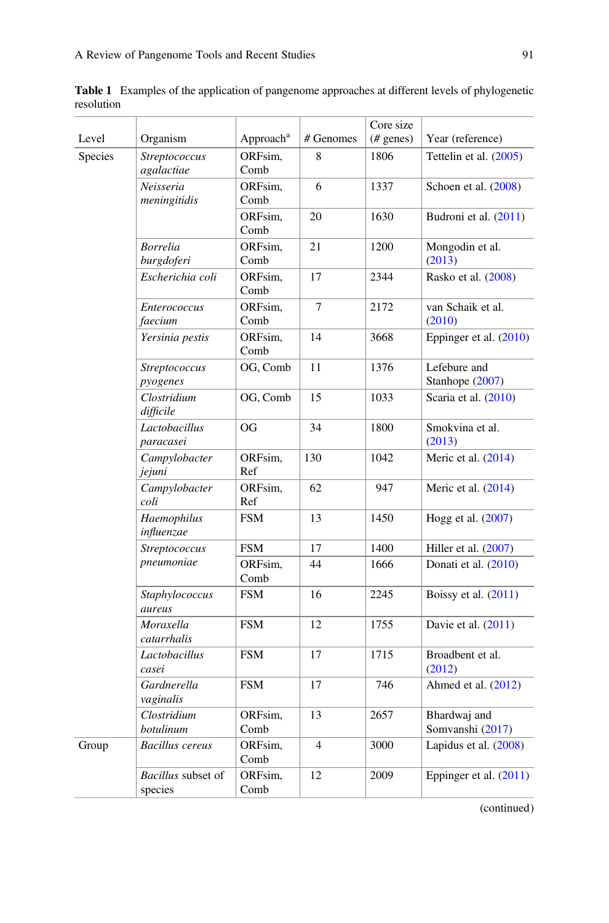<span id="page-2-0"></span>Table 1 Examples of the application of pangenome approaches at different levels of phylogenetic resolution

|         |                                      |                       |                | Core size    |                                                  |  |  |  |  |  |  |
|---------|--------------------------------------|-----------------------|----------------|--------------|--------------------------------------------------|--|--|--|--|--|--|
| Level   | Organism                             | Approach <sup>a</sup> | # Genomes      | $(\#$ genes) | Year (reference)                                 |  |  |  |  |  |  |
| Species | Streptococcus<br>agalactiae          | ORFsim,<br>Comb       | 8              | 1806         | Tettelin et al. $(2005)$<br>Schoen et al. (2008) |  |  |  |  |  |  |
|         | Neisseria<br>meningitidis            | ORFsim,<br>Comb       | 6              | 1337         |                                                  |  |  |  |  |  |  |
|         |                                      | ORFsim.<br>Comb       | 20             | 1630         | Budroni et al. (2011)                            |  |  |  |  |  |  |
|         | <b>Borrelia</b><br>burgdoferi        | ORFsim.<br>Comb       | 21             | 1200         | Mongodin et al.<br>(2013)                        |  |  |  |  |  |  |
|         | Escherichia coli                     | ORFsim,<br>Comb       | 17             | 2344         | Rasko et al. (2008)                              |  |  |  |  |  |  |
|         | <b>Enterococcus</b><br>faecium       | ORFsim.<br>Comb       | $\overline{7}$ | 2172         | van Schaik et al.<br>(2010)                      |  |  |  |  |  |  |
|         | Yersinia pestis                      | ORFsim.<br>Comb       | 14             | 3668         | Eppinger et al. $(2010)$                         |  |  |  |  |  |  |
|         | <b>Streptococcus</b><br>pyogenes     | OG, Comb              | 11             | 1376         | Lefebure and<br>Stanhope $(2007)$                |  |  |  |  |  |  |
|         | Clostridium<br>difficile             | OG, Comb              | 15             | 1033         | Scaria et al. (2010)                             |  |  |  |  |  |  |
|         | Lactobacillus<br>paracasei           | OG                    | 34             | 1800         | Smokvina et al.<br>(2013)                        |  |  |  |  |  |  |
|         | Campylobacter<br>jejuni              | ORFsim,<br>Ref        | 130            | 1042         | Meric et al. (2014)                              |  |  |  |  |  |  |
|         | Campylobacter<br>coli                | ORFsim,<br>Ref        | 62             | 947          | Meric et al. $(2014)$                            |  |  |  |  |  |  |
|         | Haemophilus<br>influenzae            | <b>FSM</b>            | 13             | 1450         | Hogg et al. (2007)                               |  |  |  |  |  |  |
|         | Streptococcus                        | <b>FSM</b>            | 17             | 1400         | Hiller et al. $(2007)$                           |  |  |  |  |  |  |
|         | pneumoniae                           | ORFsim.<br>Comb       | 44             | 1666         | Donati et al. (2010)                             |  |  |  |  |  |  |
|         | Staphylococcus<br>aureus             | <b>FSM</b>            | 16             | 2245         | Boissy et al. (2011)                             |  |  |  |  |  |  |
|         | Moraxella<br>catarrhalis             | <b>FSM</b>            | 12             | 1755         | Davie et al. (2011)                              |  |  |  |  |  |  |
|         | Lactobacillus<br>casei               | <b>FSM</b>            | 17             | 1715         | Broadbent et al.<br>(2012)                       |  |  |  |  |  |  |
|         | Gardnerella<br>vaginalis             | <b>FSM</b>            | 17             | 746          | Ahmed et al. $(2012)$                            |  |  |  |  |  |  |
|         | Clostridium<br>botulinum             | ORFsim,<br>Comb       | 13             | 2657         | Bhardwaj and<br>Somvanshi (2017)                 |  |  |  |  |  |  |
| Group   | <b>Bacillus</b> cereus               | ORFsim,<br>Comb       | $\overline{4}$ | 3000         | Lapidus et al. (2008)                            |  |  |  |  |  |  |
|         | <i>Bacillus</i> subset of<br>species | ORFsim,<br>Comb       | 12             | 2009         | Eppinger et al. $(2011)$                         |  |  |  |  |  |  |

(continued)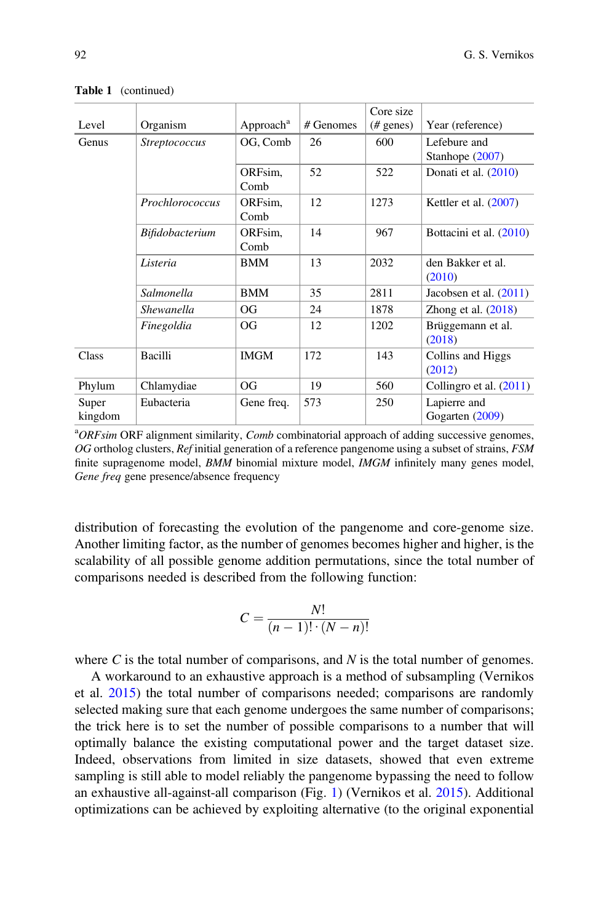| Level                          | Organism             | Approach <sup>a</sup> | $#$ Genomes | Core size<br>$(\#$ genes) | Year (reference)                |  |  |  |  |
|--------------------------------|----------------------|-----------------------|-------------|---------------------------|---------------------------------|--|--|--|--|
| Genus                          | <i>Streptococcus</i> | OG, Comb              | 26          | 600                       | Lefebure and<br>Stanhope (2007) |  |  |  |  |
|                                |                      | ORFsim.<br>Comb       | 52          | 522                       | Donati et al. (2010)            |  |  |  |  |
|                                | Prochlorococcus      | ORFsim,<br>Comb       | 12          | 1273                      | Kettler et al. $(2007)$         |  |  |  |  |
|                                | Bifidobacterium      | ORFsim,<br>Comb       | 14          | 967                       | Bottacini et al. (2010)         |  |  |  |  |
|                                | Listeria             | <b>BMM</b>            | 13          | 2032                      | den Bakker et al.<br>(2010)     |  |  |  |  |
|                                | Salmonella           | <b>BMM</b>            | 35          | 2811                      | Jacobsen et al. $(2011)$        |  |  |  |  |
|                                | Shewanella           | <b>OG</b>             | 24          | 1878                      | Zhong et al. $(2018)$           |  |  |  |  |
|                                | Finegoldia           | <b>OG</b>             | 12          | 1202                      | Brüggemann et al.<br>(2018)     |  |  |  |  |
| <b>Class</b>                   | Bacilli              | <b>IMGM</b>           | 172         | 143                       | Collins and Higgs<br>(2012)     |  |  |  |  |
| Phylum                         | Chlamydiae           | <b>OG</b>             | 19          | 560                       | Collingro et al. $(2011)$       |  |  |  |  |
| Eubacteria<br>Super<br>kingdom |                      | Gene freq.            | 573         | 250                       | Lapierre and<br>Gogarten (2009) |  |  |  |  |

Table 1 (continued)

<sup>a</sup>ORFsim ORF alignment similarity, Comb combinatorial approach of adding successive genomes, OG ortholog clusters,  $Ref$  initial generation of a reference pangenome using a subset of strains,  $FSM$ finite supragenome model, BMM binomial mixture model, IMGM infinitely many genes model, Gene freq gene presence/absence frequency

distribution of forecasting the evolution of the pangenome and core-genome size. Another limiting factor, as the number of genomes becomes higher and higher, is the scalability of all possible genome addition permutations, since the total number of comparisons needed is described from the following function:

$$
C = \frac{N!}{(n-1)!\cdot(N-n)!}
$$

where C is the total number of comparisons, and  $N$  is the total number of genomes.

A workaround to an exhaustive approach is a method of subsampling (Vernikos et al. [2015](#page-23-0)) the total number of comparisons needed; comparisons are randomly selected making sure that each genome undergoes the same number of comparisons; the trick here is to set the number of possible comparisons to a number that will optimally balance the existing computational power and the target dataset size. Indeed, observations from limited in size datasets, showed that even extreme sampling is still able to model reliably the pangenome bypassing the need to follow an exhaustive all-against-all comparison (Fig. [1\)](#page-4-0) (Vernikos et al. [2015\)](#page-23-0). Additional optimizations can be achieved by exploiting alternative (to the original exponential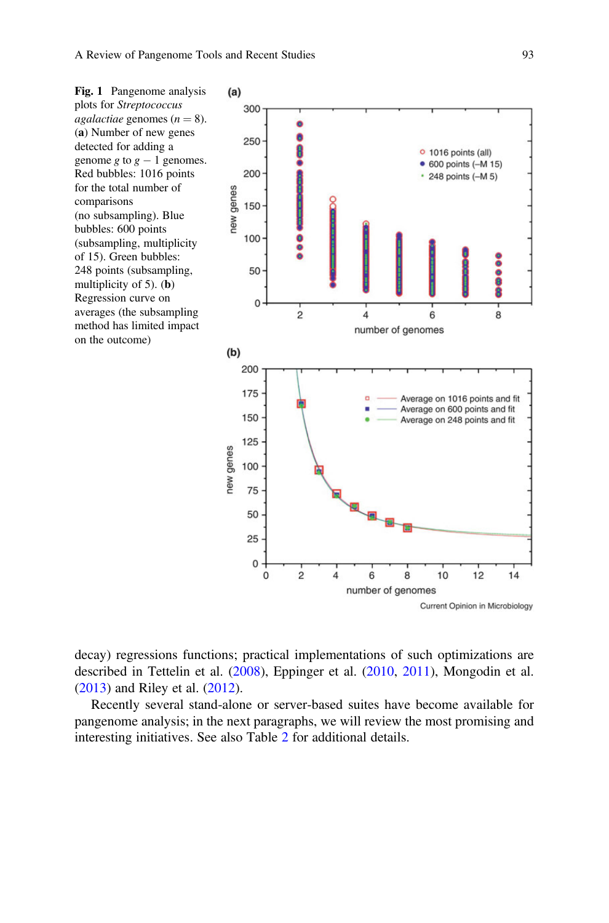<span id="page-4-0"></span>Fig. 1 Pangenome analysis plots for Streptococcus agalactiae genomes ( $n = 8$ ). (a) Number of new genes detected for adding a genome g to  $g - 1$  genomes. Red bubbles: 1016 points for the total number of comparisons (no subsampling). Blue bubbles: 600 points (subsampling, multiplicity of 15). Green bubbles: 248 points (subsampling, multiplicity of 5). (b) Regression curve on averages (the subsampling method has limited impact on the outcome)



decay) regressions functions; practical implementations of such optimizations are described in Tettelin et al. [\(2008](#page-22-2)), Eppinger et al. ([2010,](#page-20-2) [2011\)](#page-20-6), Mongodin et al. [\(2013](#page-21-3)) and Riley et al. ([2012\)](#page-22-9).

Recently several stand-alone or server-based suites have become available for pangenome analysis; in the next paragraphs, we will review the most promising and interesting initiatives. See also Table [2](#page-5-0) for additional details.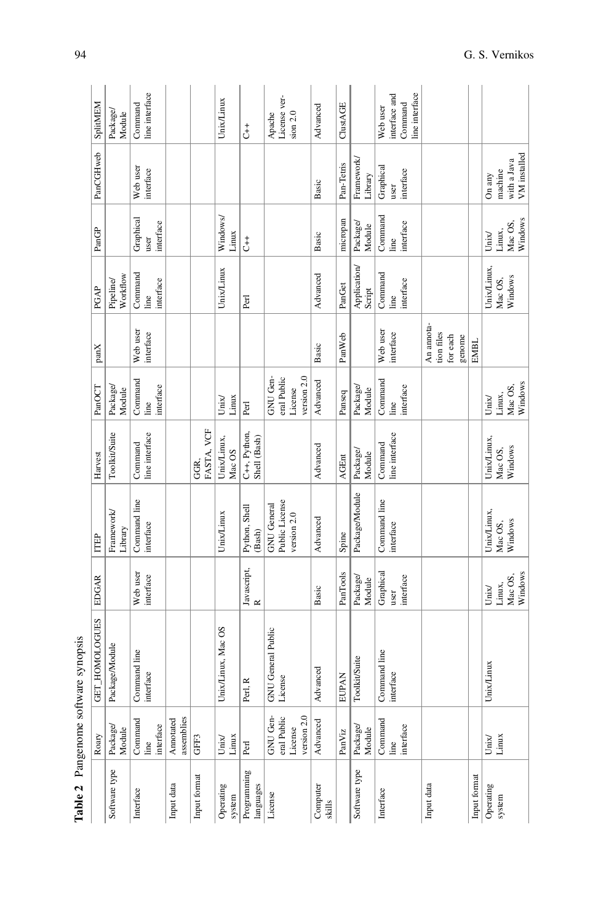<span id="page-5-0"></span>

| Table 2                  |                                                   | Pangenome software synopsis         |                                                |                                                     |                                   |                                                   |                                                |                                                                            |                                      |                                                  |                                                        |
|--------------------------|---------------------------------------------------|-------------------------------------|------------------------------------------------|-----------------------------------------------------|-----------------------------------|---------------------------------------------------|------------------------------------------------|----------------------------------------------------------------------------|--------------------------------------|--------------------------------------------------|--------------------------------------------------------|
|                          | Roary                                             | <b>GET_HOMOLOGUES</b>               | EDGAR                                          | ITEP                                                | Harvest                           | PanOCT                                            | panX                                           | PGAP                                                                       | PanGP                                | PanCGHweb                                        | SplitMEM                                               |
| Software type            | Package<br>Module                                 | Package/Module                      |                                                | Framework/<br>Library                               | Toolkit/Suite                     | Package/<br>Module                                |                                                | Workflow<br>Pipeline/                                                      |                                      |                                                  | Package<br>Module                                      |
| Interface                | Command<br>interface<br>line                      | Command line<br>interface           | Web user<br>interface                          | Command line<br>interface                           | line interface<br>Command         | Command<br>interface<br>line                      | Web user<br>interface                          | Command<br>interface<br>line                                               | Graphical<br>interface<br>user       | Web user<br>interface                            | line interface<br>Command                              |
| Input data               | assemblies<br>Annotated                           |                                     |                                                |                                                     |                                   |                                                   |                                                |                                                                            |                                      |                                                  |                                                        |
| Input format             | GFF3                                              |                                     |                                                |                                                     | FASTA, VCF<br>GGR,                |                                                   |                                                |                                                                            |                                      |                                                  |                                                        |
| Operating<br>system      | Linux<br>$_{\rm Unix}$                            | Unix/Linux, Mac OS                  |                                                | Unix/Linux                                          | Unix/Linux,<br>Mac OS             | Linux<br>Unix                                     |                                                | Unix/Linux                                                                 | Windows/<br>Linux                    |                                                  | Unix/Linux                                             |
| Programming<br>languages | Perl                                              | Perl, R                             | Javascript,<br>R                               | Python, Shell<br>(Bash)                             | C++, Python,<br>Shell (Bash)      | Perl                                              |                                                | Perl                                                                       | $\overline{t}$                       |                                                  | $\ddot{\dot{\sigma}}$                                  |
| License                  | GNU Gen-<br>version 2.0<br>eral Public<br>License | <b>NU</b> General Public<br>License |                                                | Public License<br><b>GNU</b> General<br>version 2.0 |                                   | version 2.0<br>GNU Gen-<br>eral Public<br>License |                                                |                                                                            |                                      |                                                  | License ver-<br>sion $2.0$<br>Apache                   |
| Computer<br>skills       | Advanced                                          | dvanced<br>⋖                        | Basic                                          | Advanced                                            | Advanced                          | Advanced                                          | Basic                                          | Advanced                                                                   | Basic                                | Basic                                            | Advanced                                               |
|                          | PanViz                                            | <b>EUPAN</b>                        | PanTools                                       | Spine                                               | <b>AGEnt</b>                      | Panseq                                            | PanWeb                                         | PanGet                                                                     | micropan                             | Pan-Tetris                                       | ClustAGE                                               |
| Software type            | Package<br>Module                                 | Toolkit/Suite                       | Package/<br>Module                             | Package/Module                                      | Package/<br>Module                | Package/<br>Module                                |                                                | Application<br>Script                                                      | Package/<br>Module                   | Framework<br>Library                             |                                                        |
| Interface                | Command<br>$\operatorname{interface}$<br>line     | Command line<br>interface           | Graphical<br>interface<br>user                 | Command line<br>interface                           | line interface<br>Command         | Command<br>interface<br>line                      | Web user<br>interface                          | Command<br>$\begin{array}{ll} \hbox{line} \\ \hbox{interface} \end{array}$ | Command<br>interface<br>line         | Graphical<br>interface<br>user                   | line interface<br>interface and<br>Command<br>Web user |
| Input data               |                                                   |                                     |                                                |                                                     |                                   |                                                   | An annota-<br>tion files<br>for each<br>genome |                                                                            |                                      |                                                  |                                                        |
| Input format             |                                                   |                                     |                                                |                                                     |                                   |                                                   | <b>EMBL</b>                                    |                                                                            |                                      |                                                  |                                                        |
| Operating<br>system      | Linux<br>Unix/                                    | Jnix/Linux                          | Windows<br>Mac OS,<br>Linux,<br>Uni $\sqrt{x}$ | Unix/Linux,<br>Windows<br>Mac OS,                   | Unix/Linux,<br>Windows<br>Mac OS, | Windows<br>Mac OS,<br>Linux,<br>Unix              |                                                | Unix/Linux,<br>Mac OS,<br>Windows                                          | Windows<br>Mac OS,<br>Linux,<br>Unix | VM installed<br>with a Java<br>machine<br>On any |                                                        |
|                          |                                                   |                                     |                                                |                                                     |                                   |                                                   |                                                |                                                                            |                                      |                                                  |                                                        |

| CITYSOFT<br>r              |
|----------------------------|
| š<br>î<br>i<br>C<br>in Dru |
| n con omo<br>J             |
| ē                          |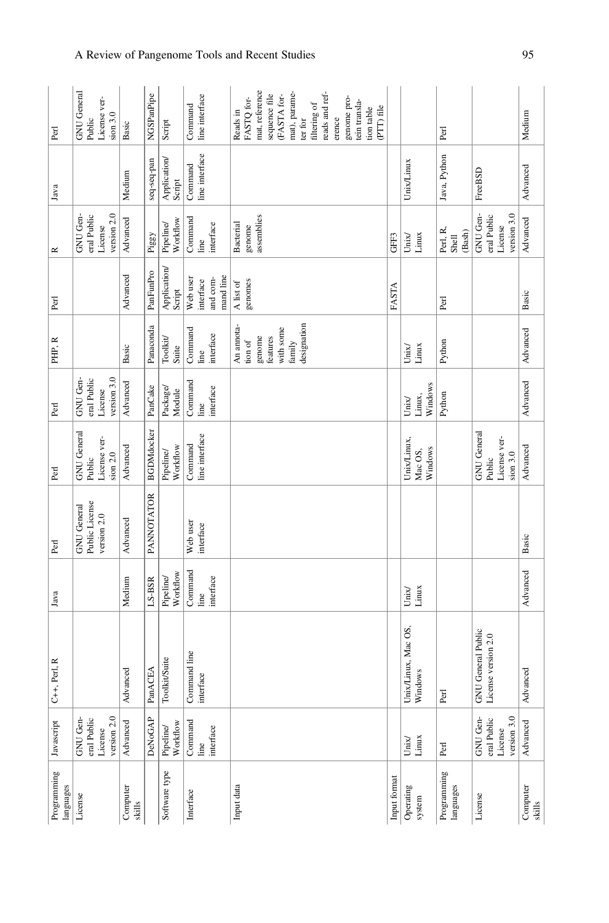| Perl                     | <b>GNU</b> General<br>License ver-<br>sion 3.0<br>Public | Basic              | NGSPanPipe        | Script                | line interface<br>Command                                     |                       | Reads in         | FASTQ for- | mat, reference | sequence file<br>(FASTA for- $\,$ |           | mat), parame- | ter for     | filtering of | reads and ref- | erence | genome pro- | tein transla- | tion table<br>(PTT) file |              |                         |                    | Perl                     |        |                           |                     |                            | Medium             |
|--------------------------|----------------------------------------------------------|--------------------|-------------------|-----------------------|---------------------------------------------------------------|-----------------------|------------------|------------|----------------|-----------------------------------|-----------|---------------|-------------|--------------|----------------|--------|-------------|---------------|--------------------------|--------------|-------------------------|--------------------|--------------------------|--------|---------------------------|---------------------|----------------------------|--------------------|
| Java                     |                                                          | Medium             | seq-seq-pan       | Application<br>Script | line interface<br>Command                                     |                       |                  |            |                |                                   |           |               |             |              |                |        |             |               |                          |              | Unix/Linux              |                    | Java, Python             |        | FreeBSD                   |                     |                            | Advanced           |
| $\simeq$                 | version 2.0<br>eral Public<br>GNU Gen-<br>License        | Advanced           | Piggy             | Workflow<br>Pipeline  | $\begin{array}{c} \text{Command} \\ \text{line} \end{array}$  | interface             | <b>Bacterial</b> | genome     | assemblies     |                                   |           |               |             |              |                |        |             |               |                          | GFF3         | $_{\rm Unix}$           | Linux              | Perl, R,<br>Shell        | (Bash) | GNU Gen-                  | eral Public         | version 3.0<br>License     | Advanced           |
| Perl                     |                                                          | Advanced           | PanFunPro         | Application<br>Script | Web user<br>interface                                         | mand line<br>and com- | A list of        | genomes    |                |                                   |           |               |             |              |                |        |             |               |                          | FASTA        |                         |                    | Perl                     |        |                           |                     |                            | Basic              |
| PHP, R                   |                                                          | Basic              | Panaconda         | Toolkit<br>Suite      | $\begin{array}{ll} \text{Command} \\ \text{line} \end{array}$ | interface             | An annota-       | tion of    | genome         | features                          | with some | family        | designation |              |                |        |             |               |                          |              | Unix/                   | Linux              | Python                   |        |                           |                     |                            | Advanced           |
| Perl                     | version 3.0<br>eral Public<br>GNU Gen-<br>License        | Advanced           | PanCake           | Package<br>Module     | Command<br>line                                               | interface             |                  |            |                |                                   |           |               |             |              |                |        |             |               |                          |              | $_{\rm Unix}$           | Windows<br>Linux,  | Python                   |        |                           |                     |                            | Advanced           |
| Perl                     | GNU General<br>License ver-<br>sion $2.0$<br>Public      | Advanced           | <b>BGDMdocker</b> | Workflow<br>Pipeline  | line interface<br>Command                                     |                       |                  |            |                |                                   |           |               |             |              |                |        |             |               |                          |              | Unix/Linux,             | Windows<br>Mac OS, |                          |        | <b>GNU</b> General        | Public              | License ver-<br>$sion$ 3.0 | Advanced           |
| Perl                     | Public License<br><b>GNU</b> General<br>version 2.0      | Advanced           | <b>PANNOTATOR</b> |                       | Web user<br>interface                                         |                       |                  |            |                |                                   |           |               |             |              |                |        |             |               |                          |              |                         |                    |                          |        |                           |                     |                            | Basic              |
| Java                     |                                                          | Medium             | $LS-BSR$          | Workflow<br>Pipeline/ | Command<br>line                                               | interface             |                  |            |                |                                   |           |               |             |              |                |        |             |               |                          |              | Unix/                   | Linux              |                          |        |                           |                     |                            | Advanced           |
| $C++$ , Perl, R          |                                                          | Advanced           | PanACEA           | Toolkit/Suite         | Command line<br>interface                                     |                       |                  |            |                |                                   |           |               |             |              |                |        |             |               |                          |              | Unix/Linux, Mac OS,     | Windows            | Perl                     |        | <b>GNU</b> General Public | License version 2.0 |                            | Advanced           |
| Javascript               | version 2.0<br>eral Public<br>GNU Gen-<br>License        | Advanced           | DeNoGAP           | Workflow<br>Pipeline/ | Command<br>line                                               | interface             |                  |            |                |                                   |           |               |             |              |                |        |             |               |                          |              | $\frac{1}{\text{Unix}}$ |                    | Perl                     |        | GNU Gen-                  | eral Public         | version 3.0<br>License     | Advanced           |
| Programming<br>languages | License                                                  | Computer<br>skills |                   | Software type         | Interface                                                     |                       | Input data       |            |                |                                   |           |               |             |              |                |        |             |               |                          | Input format | Operating               | system             | Programming<br>languages |        | License                   |                     |                            | Computer<br>skills |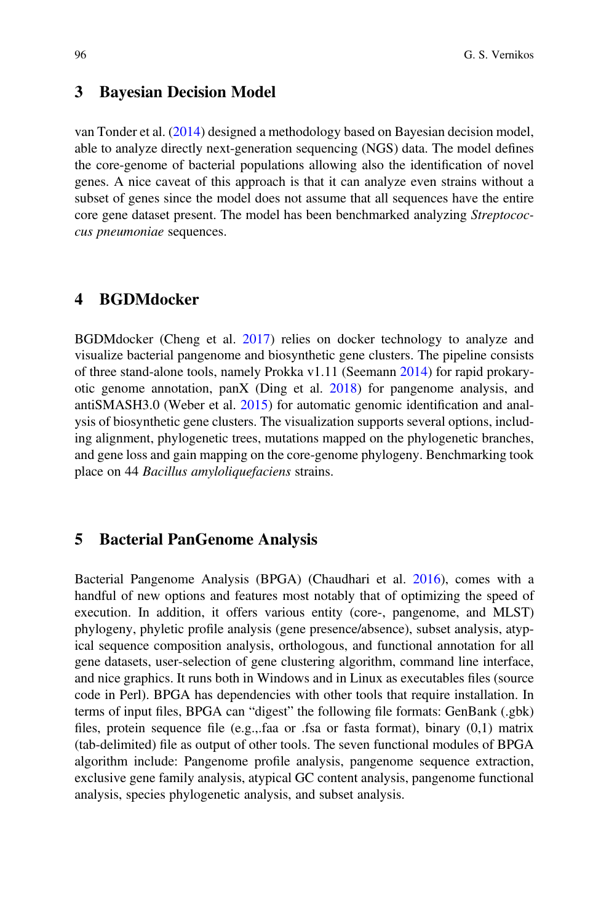#### 3 Bayesian Decision Model

van Tonder et al. ([2014\)](#page-23-2) designed a methodology based on Bayesian decision model, able to analyze directly next-generation sequencing (NGS) data. The model defines the core-genome of bacterial populations allowing also the identification of novel genes. A nice caveat of this approach is that it can analyze even strains without a subset of genes since the model does not assume that all sequences have the entire core gene dataset present. The model has been benchmarked analyzing Streptococcus pneumoniae sequences.

### 4 BGDMdocker

BGDMdocker (Cheng et al. [2017](#page-20-11)) relies on docker technology to analyze and visualize bacterial pangenome and biosynthetic gene clusters. The pipeline consists of three stand-alone tools, namely Prokka v1.11 (Seemann [2014\)](#page-22-10) for rapid prokaryotic genome annotation, panX (Ding et al. [2018\)](#page-20-12) for pangenome analysis, and antiSMASH3.0 (Weber et al. [2015\)](#page-23-3) for automatic genomic identification and analysis of biosynthetic gene clusters. The visualization supports several options, including alignment, phylogenetic trees, mutations mapped on the phylogenetic branches, and gene loss and gain mapping on the core-genome phylogeny. Benchmarking took place on 44 Bacillus amyloliquefaciens strains.

### 5 Bacterial PanGenome Analysis

Bacterial Pangenome Analysis (BPGA) (Chaudhari et al. [2016](#page-19-7)), comes with a handful of new options and features most notably that of optimizing the speed of execution. In addition, it offers various entity (core-, pangenome, and MLST) phylogeny, phyletic profile analysis (gene presence/absence), subset analysis, atypical sequence composition analysis, orthologous, and functional annotation for all gene datasets, user-selection of gene clustering algorithm, command line interface, and nice graphics. It runs both in Windows and in Linux as executables files (source code in Perl). BPGA has dependencies with other tools that require installation. In terms of input files, BPGA can "digest" the following file formats: GenBank (.gbk) files, protein sequence file (e.g.,.faa or .fsa or fasta format), binary (0,1) matrix (tab-delimited) file as output of other tools. The seven functional modules of BPGA algorithm include: Pangenome profile analysis, pangenome sequence extraction, exclusive gene family analysis, atypical GC content analysis, pangenome functional analysis, species phylogenetic analysis, and subset analysis.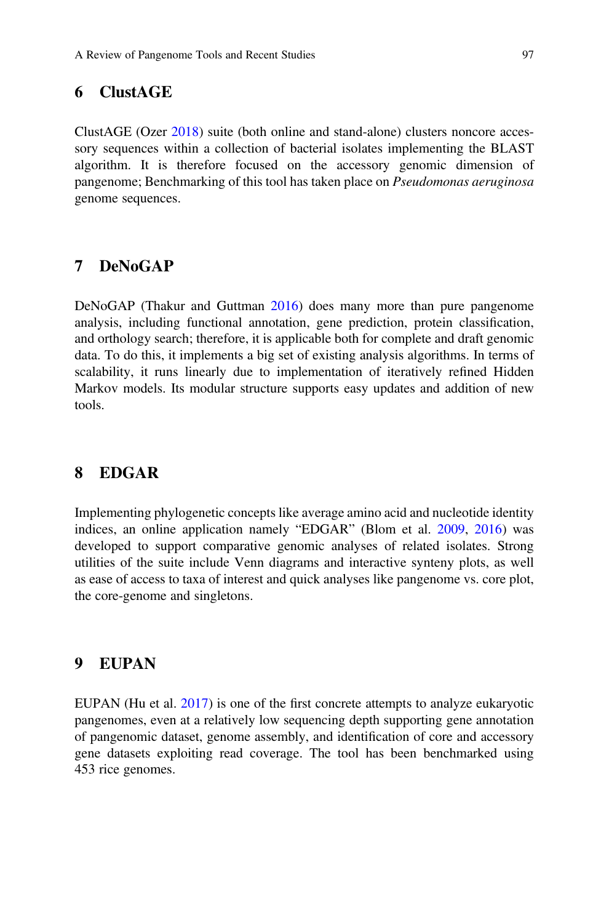# 6 ClustAGE

ClustAGE (Ozer [2018\)](#page-21-8) suite (both online and stand-alone) clusters noncore accessory sequences within a collection of bacterial isolates implementing the BLAST algorithm. It is therefore focused on the accessory genomic dimension of pangenome; Benchmarking of this tool has taken place on Pseudomonas aeruginosa genome sequences.

### 7 DeNoGAP

DeNoGAP (Thakur and Guttman [2016](#page-22-11)) does many more than pure pangenome analysis, including functional annotation, gene prediction, protein classification, and orthology search; therefore, it is applicable both for complete and draft genomic data. To do this, it implements a big set of existing analysis algorithms. In terms of scalability, it runs linearly due to implementation of iteratively refined Hidden Markov models. Its modular structure supports easy updates and addition of new tools.

### 8 EDGAR

Implementing phylogenetic concepts like average amino acid and nucleotide identity indices, an online application namely "EDGAR" (Blom et al. [2009,](#page-19-8) [2016](#page-19-9)) was developed to support comparative genomic analyses of related isolates. Strong utilities of the suite include Venn diagrams and interactive synteny plots, as well as ease of access to taxa of interest and quick analyses like pangenome vs. core plot, the core-genome and singletons.

### 9 EUPAN

EUPAN (Hu et al. [2017\)](#page-20-13) is one of the first concrete attempts to analyze eukaryotic pangenomes, even at a relatively low sequencing depth supporting gene annotation of pangenomic dataset, genome assembly, and identification of core and accessory gene datasets exploiting read coverage. The tool has been benchmarked using 453 rice genomes.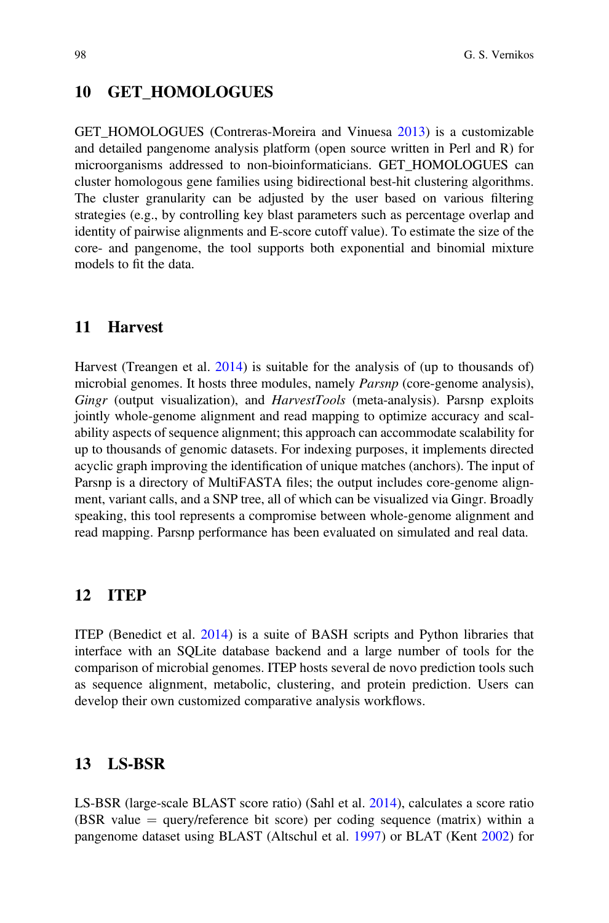### 10 GET HOMOLOGUES

GET HOMOLOGUES (Contreras-Moreira and Vinuesa [2013](#page-20-14)) is a customizable and detailed pangenome analysis platform (open source written in Perl and R) for microorganisms addressed to non-bioinformaticians. GET\_HOMOLOGUES can cluster homologous gene families using bidirectional best-hit clustering algorithms. The cluster granularity can be adjusted by the user based on various filtering strategies (e.g., by controlling key blast parameters such as percentage overlap and identity of pairwise alignments and E-score cutoff value). To estimate the size of the core- and pangenome, the tool supports both exponential and binomial mixture models to fit the data.

### 11 Harvest

Harvest (Treangen et al. [2014](#page-22-12)) is suitable for the analysis of (up to thousands of) microbial genomes. It hosts three modules, namely *Parsnp* (core-genome analysis), Gingr (output visualization), and *HarvestTools* (meta-analysis). Parsnp exploits jointly whole-genome alignment and read mapping to optimize accuracy and scalability aspects of sequence alignment; this approach can accommodate scalability for up to thousands of genomic datasets. For indexing purposes, it implements directed acyclic graph improving the identification of unique matches (anchors). The input of Parsnp is a directory of MultiFASTA files; the output includes core-genome alignment, variant calls, and a SNP tree, all of which can be visualized via Gingr. Broadly speaking, this tool represents a compromise between whole-genome alignment and read mapping. Parsnp performance has been evaluated on simulated and real data.

### 12 ITEP

ITEP (Benedict et al. [2014\)](#page-19-10) is a suite of BASH scripts and Python libraries that interface with an SQLite database backend and a large number of tools for the comparison of microbial genomes. ITEP hosts several de novo prediction tools such as sequence alignment, metabolic, clustering, and protein prediction. Users can develop their own customized comparative analysis workflows.

### 13 LS-BSR

LS-BSR (large-scale BLAST score ratio) (Sahl et al. [2014\)](#page-22-13), calculates a score ratio (BSR value  $=$  query/reference bit score) per coding sequence (matrix) within a pangenome dataset using BLAST (Altschul et al. [1997](#page-19-11)) or BLAT (Kent [2002\)](#page-21-9) for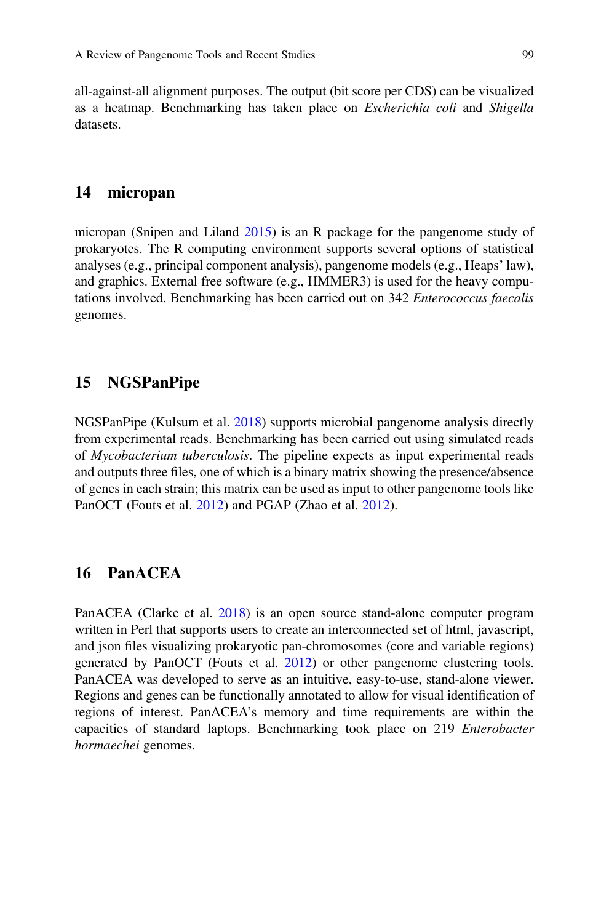all-against-all alignment purposes. The output (bit score per CDS) can be visualized as a heatmap. Benchmarking has taken place on *Escherichia coli* and *Shigella* datasets.

### 14 micropan

micropan (Snipen and Liland [2015](#page-22-14)) is an R package for the pangenome study of prokaryotes. The R computing environment supports several options of statistical analyses (e.g., principal component analysis), pangenome models (e.g., Heaps' law), and graphics. External free software (e.g., HMMER3) is used for the heavy computations involved. Benchmarking has been carried out on 342 Enterococcus faecalis genomes.

### 15 NGSPanPipe

NGSPanPipe (Kulsum et al. [2018\)](#page-21-10) supports microbial pangenome analysis directly from experimental reads. Benchmarking has been carried out using simulated reads of Mycobacterium tuberculosis. The pipeline expects as input experimental reads and outputs three files, one of which is a binary matrix showing the presence/absence of genes in each strain; this matrix can be used as input to other pangenome tools like PanOCT (Fouts et al. [2012\)](#page-20-15) and PGAP (Zhao et al. [2012](#page-23-4)).

# 16 PanACEA

PanACEA (Clarke et al. [2018\)](#page-20-16) is an open source stand-alone computer program written in Perl that supports users to create an interconnected set of html, javascript, and json files visualizing prokaryotic pan-chromosomes (core and variable regions) generated by PanOCT (Fouts et al. [2012](#page-20-15)) or other pangenome clustering tools. PanACEA was developed to serve as an intuitive, easy-to-use, stand-alone viewer. Regions and genes can be functionally annotated to allow for visual identification of regions of interest. PanACEA's memory and time requirements are within the capacities of standard laptops. Benchmarking took place on 219 Enterobacter hormaechei genomes.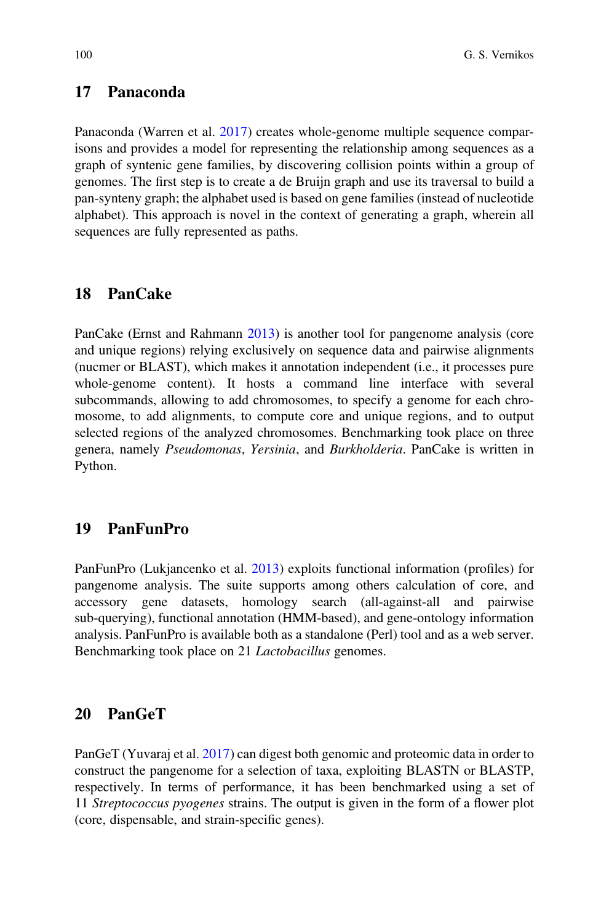# 17 Panaconda

Panaconda (Warren et al. [2017\)](#page-23-5) creates whole-genome multiple sequence comparisons and provides a model for representing the relationship among sequences as a graph of syntenic gene families, by discovering collision points within a group of genomes. The first step is to create a de Bruijn graph and use its traversal to build a pan-synteny graph; the alphabet used is based on gene families (instead of nucleotide alphabet). This approach is novel in the context of generating a graph, wherein all sequences are fully represented as paths.

### 18 PanCake

PanCake (Ernst and Rahmann [2013\)](#page-20-17) is another tool for pangenome analysis (core and unique regions) relying exclusively on sequence data and pairwise alignments (nucmer or BLAST), which makes it annotation independent (i.e., it processes pure whole-genome content). It hosts a command line interface with several subcommands, allowing to add chromosomes, to specify a genome for each chromosome, to add alignments, to compute core and unique regions, and to output selected regions of the analyzed chromosomes. Benchmarking took place on three genera, namely Pseudomonas, Yersinia, and Burkholderia. PanCake is written in Python.

# 19 PanFunPro

PanFunPro (Lukjancenko et al. [2013\)](#page-21-11) exploits functional information (profiles) for pangenome analysis. The suite supports among others calculation of core, and accessory gene datasets, homology search (all-against-all and pairwise sub-querying), functional annotation (HMM-based), and gene-ontology information analysis. PanFunPro is available both as a standalone (Perl) tool and as a web server. Benchmarking took place on 21 *Lactobacillus* genomes.

### 20 PanGeT

PanGeT (Yuvaraj et al. [2017\)](#page-23-6) can digest both genomic and proteomic data in order to construct the pangenome for a selection of taxa, exploiting BLASTN or BLASTP, respectively. In terms of performance, it has been benchmarked using a set of 11 Streptococcus pyogenes strains. The output is given in the form of a flower plot (core, dispensable, and strain-specific genes).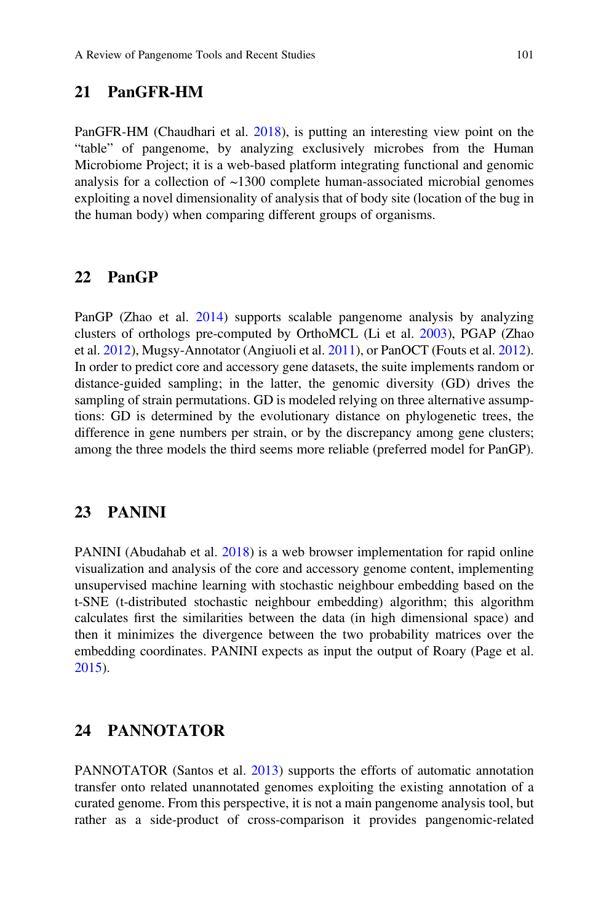# 21 PanGFR-HM

PanGFR-HM (Chaudhari et al. [2018](#page-19-12)), is putting an interesting view point on the "table" of pangenome, by analyzing exclusively microbes from the Human Microbiome Project; it is a web-based platform integrating functional and genomic analysis for a collection of  $\sim$ 1300 complete human-associated microbial genomes exploiting a novel dimensionality of analysis that of body site (location of the bug in the human body) when comparing different groups of organisms.

### 22 PanGP

PanGP (Zhao et al. [2014](#page-23-7)) supports scalable pangenome analysis by analyzing clusters of orthologs pre-computed by OrthoMCL (Li et al. [2003\)](#page-21-12), PGAP (Zhao et al. [2012\)](#page-23-4), Mugsy-Annotator (Angiuoli et al. [2011\)](#page-19-13), or PanOCT (Fouts et al. [2012\)](#page-20-15). In order to predict core and accessory gene datasets, the suite implements random or distance-guided sampling; in the latter, the genomic diversity (GD) drives the sampling of strain permutations. GD is modeled relying on three alternative assumptions: GD is determined by the evolutionary distance on phylogenetic trees, the difference in gene numbers per strain, or by the discrepancy among gene clusters; among the three models the third seems more reliable (preferred model for PanGP).

#### 23 PANINI

PANINI (Abudahab et al. [2018](#page-19-14)) is a web browser implementation for rapid online visualization and analysis of the core and accessory genome content, implementing unsupervised machine learning with stochastic neighbour embedding based on the t-SNE (t-distributed stochastic neighbour embedding) algorithm; this algorithm calculates first the similarities between the data (in high dimensional space) and then it minimizes the divergence between the two probability matrices over the embedding coordinates. PANINI expects as input the output of Roary (Page et al. [2015\)](#page-22-15).

# 24 PANNOTATOR

PANNOTATOR (Santos et al. [2013](#page-22-16)) supports the efforts of automatic annotation transfer onto related unannotated genomes exploiting the existing annotation of a curated genome. From this perspective, it is not a main pangenome analysis tool, but rather as a side-product of cross-comparison it provides pangenomic-related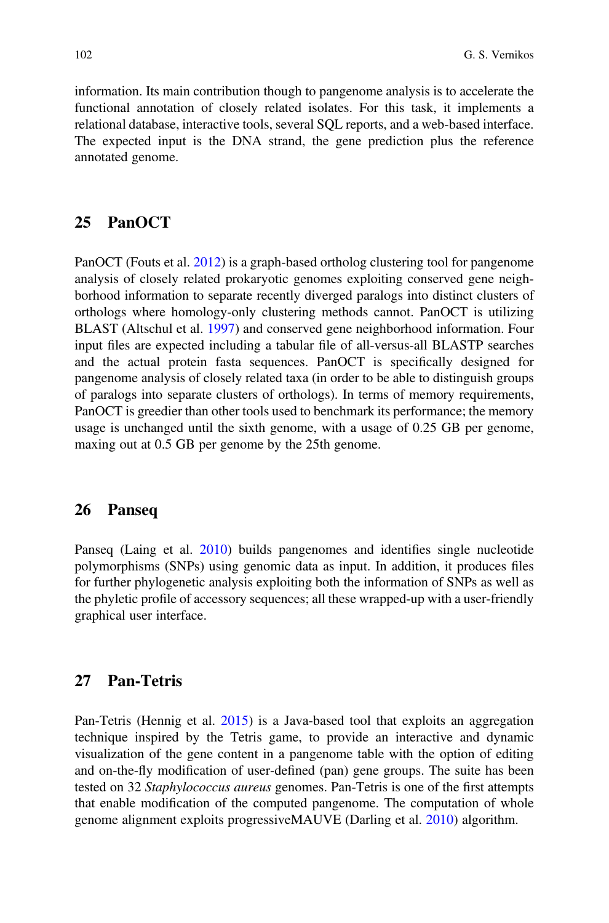information. Its main contribution though to pangenome analysis is to accelerate the functional annotation of closely related isolates. For this task, it implements a relational database, interactive tools, several SQL reports, and a web-based interface. The expected input is the DNA strand, the gene prediction plus the reference annotated genome.

### 25 PanOCT

PanOCT (Fouts et al. [2012\)](#page-20-15) is a graph-based ortholog clustering tool for pangenome analysis of closely related prokaryotic genomes exploiting conserved gene neighborhood information to separate recently diverged paralogs into distinct clusters of orthologs where homology-only clustering methods cannot. PanOCT is utilizing BLAST (Altschul et al. [1997\)](#page-19-11) and conserved gene neighborhood information. Four input files are expected including a tabular file of all-versus-all BLASTP searches and the actual protein fasta sequences. PanOCT is specifically designed for pangenome analysis of closely related taxa (in order to be able to distinguish groups of paralogs into separate clusters of orthologs). In terms of memory requirements, PanOCT is greedier than other tools used to benchmark its performance; the memory usage is unchanged until the sixth genome, with a usage of 0.25 GB per genome, maxing out at 0.5 GB per genome by the 25th genome.

## 26 Panseq

Panseq (Laing et al. [2010](#page-21-13)) builds pangenomes and identifies single nucleotide polymorphisms (SNPs) using genomic data as input. In addition, it produces files for further phylogenetic analysis exploiting both the information of SNPs as well as the phyletic profile of accessory sequences; all these wrapped-up with a user-friendly graphical user interface.

### 27 Pan-Tetris

Pan-Tetris (Hennig et al. [2015](#page-20-18)) is a Java-based tool that exploits an aggregation technique inspired by the Tetris game, to provide an interactive and dynamic visualization of the gene content in a pangenome table with the option of editing and on-the-fly modification of user-defined (pan) gene groups. The suite has been tested on 32 Staphylococcus aureus genomes. Pan-Tetris is one of the first attempts that enable modification of the computed pangenome. The computation of whole genome alignment exploits progressiveMAUVE (Darling et al. [2010\)](#page-20-19) algorithm.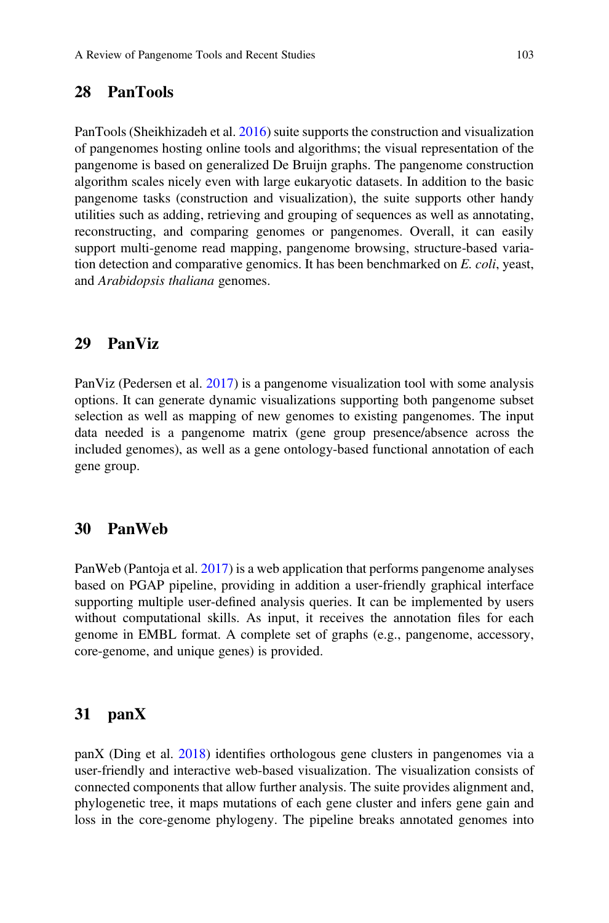# 28 PanTools

PanTools (Sheikhizadeh et al. [2016](#page-22-17)) suite supports the construction and visualization of pangenomes hosting online tools and algorithms; the visual representation of the pangenome is based on generalized De Bruijn graphs. The pangenome construction algorithm scales nicely even with large eukaryotic datasets. In addition to the basic pangenome tasks (construction and visualization), the suite supports other handy utilities such as adding, retrieving and grouping of sequences as well as annotating, reconstructing, and comparing genomes or pangenomes. Overall, it can easily support multi-genome read mapping, pangenome browsing, structure-based variation detection and comparative genomics. It has been benchmarked on E. coli, yeast, and Arabidopsis thaliana genomes.

### 29 PanViz

PanViz (Pedersen et al. [2017\)](#page-22-18) is a pangenome visualization tool with some analysis options. It can generate dynamic visualizations supporting both pangenome subset selection as well as mapping of new genomes to existing pangenomes. The input data needed is a pangenome matrix (gene group presence/absence across the included genomes), as well as a gene ontology-based functional annotation of each gene group.

### 30 PanWeb

PanWeb (Pantoja et al. [2017](#page-22-19)) is a web application that performs pangenome analyses based on PGAP pipeline, providing in addition a user-friendly graphical interface supporting multiple user-defined analysis queries. It can be implemented by users without computational skills. As input, it receives the annotation files for each genome in EMBL format. A complete set of graphs (e.g., pangenome, accessory, core-genome, and unique genes) is provided.

#### 31 panX

panX (Ding et al. [2018\)](#page-20-12) identifies orthologous gene clusters in pangenomes via a user-friendly and interactive web-based visualization. The visualization consists of connected components that allow further analysis. The suite provides alignment and, phylogenetic tree, it maps mutations of each gene cluster and infers gene gain and loss in the core-genome phylogeny. The pipeline breaks annotated genomes into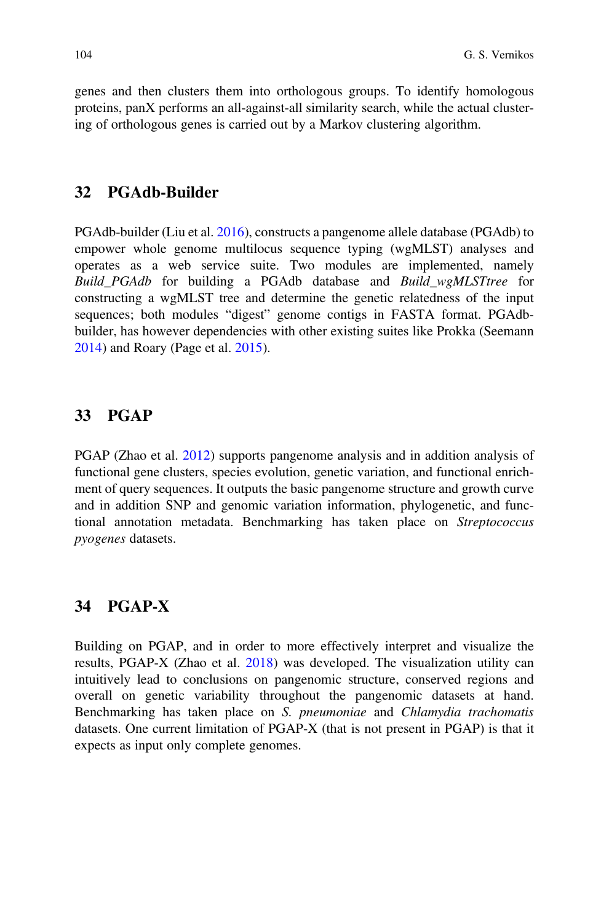genes and then clusters them into orthologous groups. To identify homologous proteins, panX performs an all-against-all similarity search, while the actual clustering of orthologous genes is carried out by a Markov clustering algorithm.

### 32 PGAdb-Builder

PGAdb-builder (Liu et al. [2016](#page-21-14)), constructs a pangenome allele database (PGAdb) to empower whole genome multilocus sequence typing (wgMLST) analyses and operates as a web service suite. Two modules are implemented, namely Build\_PGAdb for building a PGAdb database and Build\_wgMLSTtree for constructing a wgMLST tree and determine the genetic relatedness of the input sequences; both modules "digest" genome contigs in FASTA format. PGAdbbuilder, has however dependencies with other existing suites like Prokka (Seemann [2014\)](#page-22-10) and Roary (Page et al. [2015\)](#page-22-15).

### 33 PGAP

PGAP (Zhao et al. [2012\)](#page-23-4) supports pangenome analysis and in addition analysis of functional gene clusters, species evolution, genetic variation, and functional enrichment of query sequences. It outputs the basic pangenome structure and growth curve and in addition SNP and genomic variation information, phylogenetic, and functional annotation metadata. Benchmarking has taken place on Streptococcus pyogenes datasets.

### 34 PGAP-X

Building on PGAP, and in order to more effectively interpret and visualize the results, PGAP-X (Zhao et al. [2018](#page-23-8)) was developed. The visualization utility can intuitively lead to conclusions on pangenomic structure, conserved regions and overall on genetic variability throughout the pangenomic datasets at hand. Benchmarking has taken place on S. pneumoniae and Chlamydia trachomatis datasets. One current limitation of PGAP-X (that is not present in PGAP) is that it expects as input only complete genomes.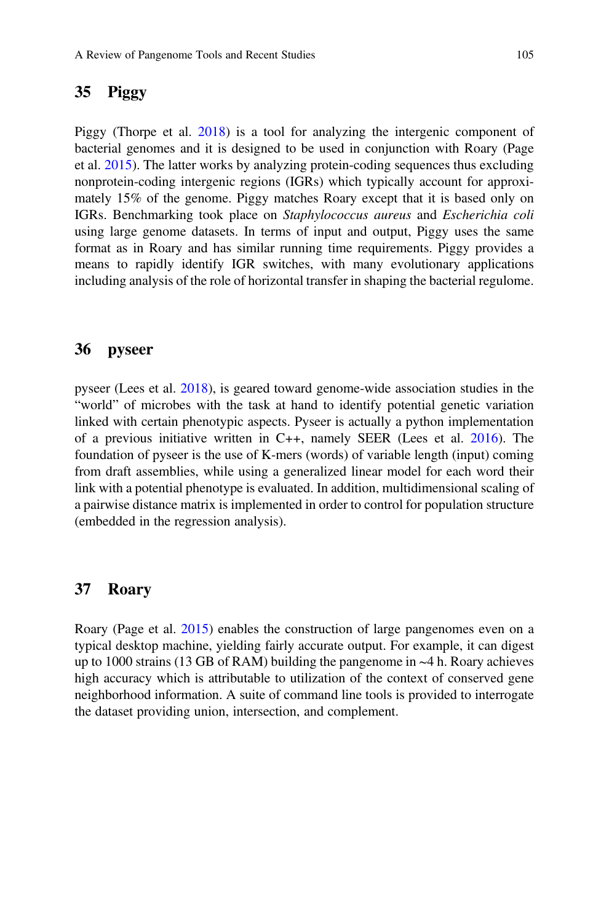### 35 Piggy

Piggy (Thorpe et al. [2018\)](#page-22-20) is a tool for analyzing the intergenic component of bacterial genomes and it is designed to be used in conjunction with Roary (Page et al. [2015](#page-22-15)). The latter works by analyzing protein-coding sequences thus excluding nonprotein-coding intergenic regions (IGRs) which typically account for approximately 15% of the genome. Piggy matches Roary except that it is based only on IGRs. Benchmarking took place on Staphylococcus aureus and Escherichia coli using large genome datasets. In terms of input and output, Piggy uses the same format as in Roary and has similar running time requirements. Piggy provides a means to rapidly identify IGR switches, with many evolutionary applications including analysis of the role of horizontal transfer in shaping the bacterial regulome.

#### 36 pyseer

pyseer (Lees et al. [2018](#page-21-15)), is geared toward genome-wide association studies in the "world" of microbes with the task at hand to identify potential genetic variation linked with certain phenotypic aspects. Pyseer is actually a python implementation of a previous initiative written in C++, namely SEER (Lees et al. [2016\)](#page-21-16). The foundation of pyseer is the use of K-mers (words) of variable length (input) coming from draft assemblies, while using a generalized linear model for each word their link with a potential phenotype is evaluated. In addition, multidimensional scaling of a pairwise distance matrix is implemented in order to control for population structure (embedded in the regression analysis).

#### 37 Roary

Roary (Page et al. [2015\)](#page-22-15) enables the construction of large pangenomes even on a typical desktop machine, yielding fairly accurate output. For example, it can digest up to 1000 strains (13 GB of RAM) building the pangenome in ~4 h. Roary achieves high accuracy which is attributable to utilization of the context of conserved gene neighborhood information. A suite of command line tools is provided to interrogate the dataset providing union, intersection, and complement.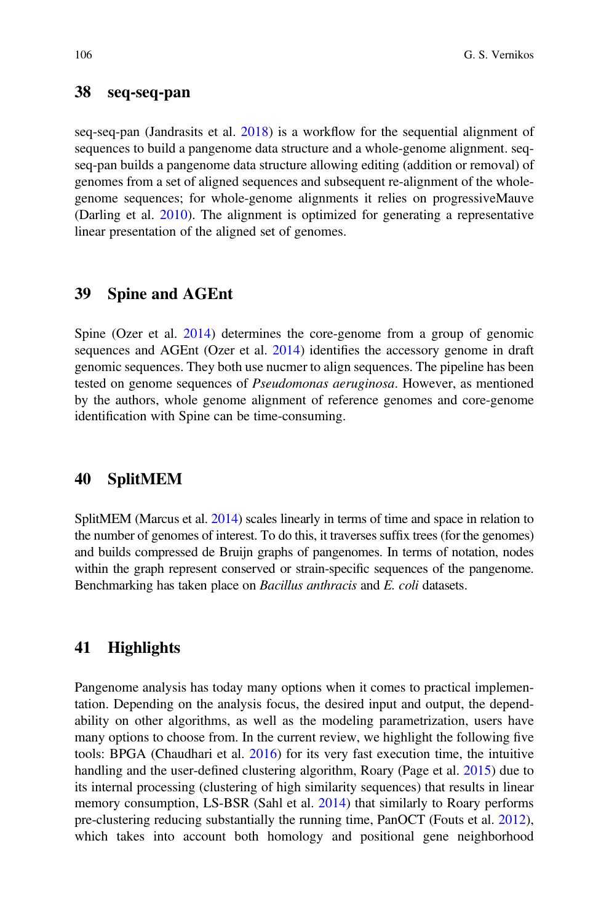### 38 seq-seq-pan

seq-seq-pan (Jandrasits et al. [2018\)](#page-21-17) is a workflow for the sequential alignment of sequences to build a pangenome data structure and a whole-genome alignment. seqseq-pan builds a pangenome data structure allowing editing (addition or removal) of genomes from a set of aligned sequences and subsequent re-alignment of the wholegenome sequences; for whole-genome alignments it relies on progressiveMauve (Darling et al. [2010](#page-20-19)). The alignment is optimized for generating a representative linear presentation of the aligned set of genomes.

### 39 Spine and AGEnt

Spine (Ozer et al. [2014](#page-21-18)) determines the core-genome from a group of genomic sequences and AGEnt (Ozer et al. [2014\)](#page-21-18) identifies the accessory genome in draft genomic sequences. They both use nucmer to align sequences. The pipeline has been tested on genome sequences of Pseudomonas aeruginosa. However, as mentioned by the authors, whole genome alignment of reference genomes and core-genome identification with Spine can be time-consuming.

#### 40 SplitMEM

SplitMEM (Marcus et al. [2014\)](#page-21-19) scales linearly in terms of time and space in relation to the number of genomes of interest. To do this, it traverses suffix trees (for the genomes) and builds compressed de Bruijn graphs of pangenomes. In terms of notation, nodes within the graph represent conserved or strain-specific sequences of the pangenome. Benchmarking has taken place on Bacillus anthracis and E. coli datasets.

### 41 Highlights

Pangenome analysis has today many options when it comes to practical implementation. Depending on the analysis focus, the desired input and output, the dependability on other algorithms, as well as the modeling parametrization, users have many options to choose from. In the current review, we highlight the following five tools: BPGA (Chaudhari et al. [2016](#page-19-7)) for its very fast execution time, the intuitive handling and the user-defined clustering algorithm, Roary (Page et al. [2015\)](#page-22-15) due to its internal processing (clustering of high similarity sequences) that results in linear memory consumption, LS-BSR (Sahl et al. [2014\)](#page-22-13) that similarly to Roary performs pre-clustering reducing substantially the running time, PanOCT (Fouts et al. [2012\)](#page-20-15), which takes into account both homology and positional gene neighborhood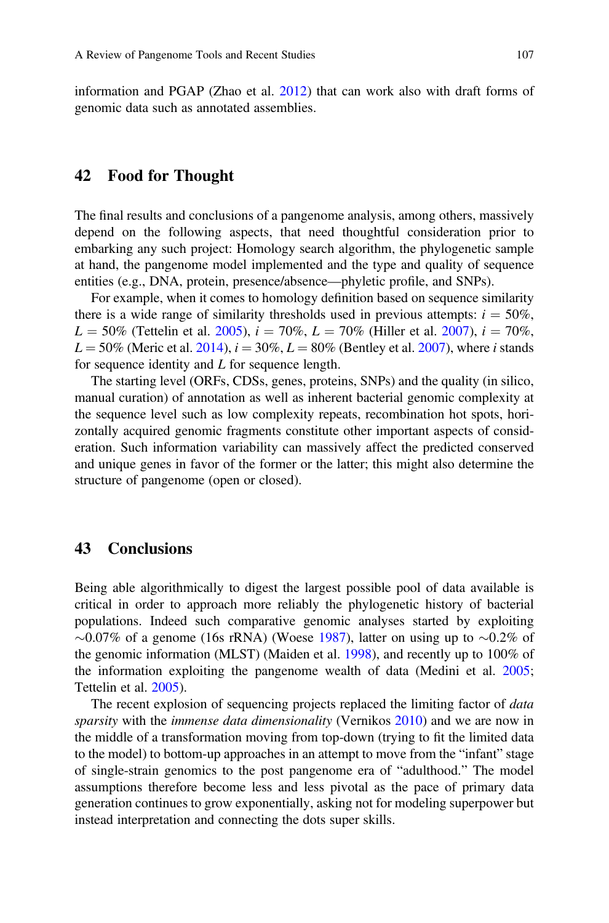information and PGAP (Zhao et al. [2012\)](#page-23-4) that can work also with draft forms of genomic data such as annotated assemblies.

### 42 Food for Thought

The final results and conclusions of a pangenome analysis, among others, massively depend on the following aspects, that need thoughtful consideration prior to embarking any such project: Homology search algorithm, the phylogenetic sample at hand, the pangenome model implemented and the type and quality of sequence entities (e.g., DNA, protein, presence/absence—phyletic profile, and SNPs).

For example, when it comes to homology definition based on sequence similarity there is a wide range of similarity thresholds used in previous attempts:  $i = 50\%$ .  $L = 50\%$  (Tettelin et al. [2005](#page-22-0)),  $i = 70\%$ ,  $L = 70\%$  (Hiller et al. [2007\)](#page-20-1),  $i = 70\%$ ,  $L = 50\%$  (Meric et al. [2014](#page-21-5)),  $i = 30\%$ ,  $L = 80\%$  (Bentley et al. [2007\)](#page-19-15), where i stands for sequence identity and L for sequence length.

The starting level (ORFs, CDSs, genes, proteins, SNPs) and the quality (in silico, manual curation) of annotation as well as inherent bacterial genomic complexity at the sequence level such as low complexity repeats, recombination hot spots, horizontally acquired genomic fragments constitute other important aspects of consideration. Such information variability can massively affect the predicted conserved and unique genes in favor of the former or the latter; this might also determine the structure of pangenome (open or closed).

### 43 Conclusions

Being able algorithmically to digest the largest possible pool of data available is critical in order to approach more reliably the phylogenetic history of bacterial populations. Indeed such comparative genomic analyses started by exploiting  $\sim$ 0.07% of a genome (16s rRNA) (Woese [1987\)](#page-23-9), latter on using up to  $\sim$ 0.2% of the genomic information (MLST) (Maiden et al. [1998](#page-21-20)), and recently up to 100% of the information exploiting the pangenome wealth of data (Medini et al. [2005;](#page-21-0) Tettelin et al. [2005](#page-22-0)).

The recent explosion of sequencing projects replaced the limiting factor of *data* sparsity with the *immense data dimensionality* (Vernikos [2010](#page-23-10)) and we are now in the middle of a transformation moving from top-down (trying to fit the limited data to the model) to bottom-up approaches in an attempt to move from the "infant" stage of single-strain genomics to the post pangenome era of "adulthood." The model assumptions therefore become less and less pivotal as the pace of primary data generation continues to grow exponentially, asking not for modeling superpower but instead interpretation and connecting the dots super skills.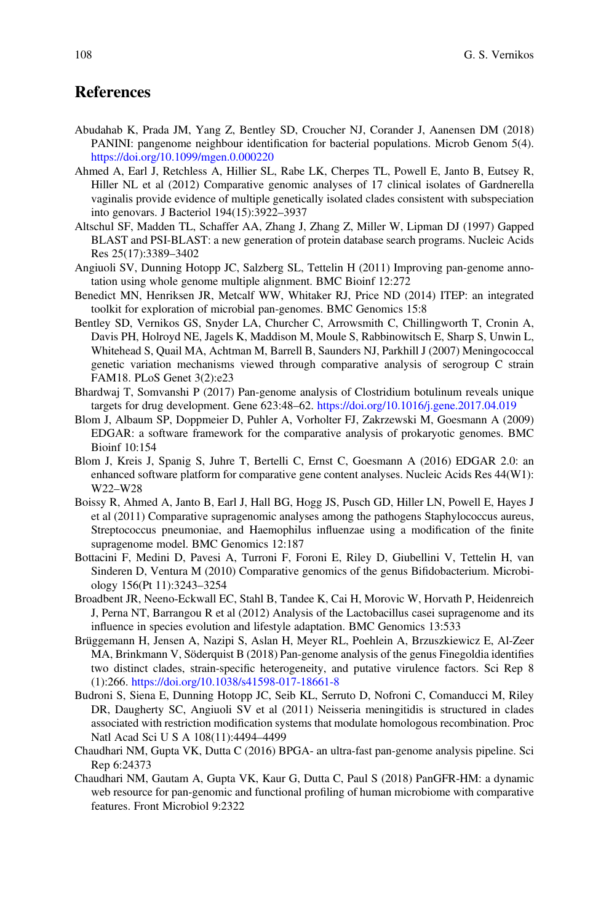## **References**

- <span id="page-19-14"></span>Abudahab K, Prada JM, Yang Z, Bentley SD, Croucher NJ, Corander J, Aanensen DM (2018) PANINI: pangenome neighbour identification for bacterial populations. Microb Genom 5(4). <https://doi.org/10.1099/mgen.0.000220>
- <span id="page-19-3"></span>Ahmed A, Earl J, Retchless A, Hillier SL, Rabe LK, Cherpes TL, Powell E, Janto B, Eutsey R, Hiller NL et al (2012) Comparative genomic analyses of 17 clinical isolates of Gardnerella vaginalis provide evidence of multiple genetically isolated clades consistent with subspeciation into genovars. J Bacteriol 194(15):3922–3937
- <span id="page-19-11"></span>Altschul SF, Madden TL, Schaffer AA, Zhang J, Zhang Z, Miller W, Lipman DJ (1997) Gapped BLAST and PSI-BLAST: a new generation of protein database search programs. Nucleic Acids Res 25(17):3389–3402
- <span id="page-19-13"></span>Angiuoli SV, Dunning Hotopp JC, Salzberg SL, Tettelin H (2011) Improving pan-genome annotation using whole genome multiple alignment. BMC Bioinf 12:272
- <span id="page-19-10"></span>Benedict MN, Henriksen JR, Metcalf WW, Whitaker RJ, Price ND (2014) ITEP: an integrated toolkit for exploration of microbial pan-genomes. BMC Genomics 15:8
- <span id="page-19-15"></span>Bentley SD, Vernikos GS, Snyder LA, Churcher C, Arrowsmith C, Chillingworth T, Cronin A, Davis PH, Holroyd NE, Jagels K, Maddison M, Moule S, Rabbinowitsch E, Sharp S, Unwin L, Whitehead S, Quail MA, Achtman M, Barrell B, Saunders NJ, Parkhill J (2007) Meningococcal genetic variation mechanisms viewed through comparative analysis of serogroup C strain FAM18. PLoS Genet 3(2):e23
- <span id="page-19-4"></span>Bhardwaj T, Somvanshi P (2017) Pan-genome analysis of Clostridium botulinum reveals unique targets for drug development. Gene 623:48–62. <https://doi.org/10.1016/j.gene.2017.04.019>
- <span id="page-19-8"></span>Blom J, Albaum SP, Doppmeier D, Puhler A, Vorholter FJ, Zakrzewski M, Goesmann A (2009) EDGAR: a software framework for the comparative analysis of prokaryotic genomes. BMC Bioinf 10:154
- <span id="page-19-9"></span>Blom J, Kreis J, Spanig S, Juhre T, Bertelli C, Ernst C, Goesmann A (2016) EDGAR 2.0: an enhanced software platform for comparative gene content analyses. Nucleic Acids Res 44(W1): W22–W28
- <span id="page-19-1"></span>Boissy R, Ahmed A, Janto B, Earl J, Hall BG, Hogg JS, Pusch GD, Hiller LN, Powell E, Hayes J et al (2011) Comparative supragenomic analyses among the pathogens Staphylococcus aureus, Streptococcus pneumoniae, and Haemophilus influenzae using a modification of the finite supragenome model. BMC Genomics 12:187
- <span id="page-19-5"></span>Bottacini F, Medini D, Pavesi A, Turroni F, Foroni E, Riley D, Giubellini V, Tettelin H, van Sinderen D, Ventura M (2010) Comparative genomics of the genus Bifidobacterium. Microbiology 156(Pt 11):3243–3254
- <span id="page-19-2"></span>Broadbent JR, Neeno-Eckwall EC, Stahl B, Tandee K, Cai H, Morovic W, Horvath P, Heidenreich J, Perna NT, Barrangou R et al (2012) Analysis of the Lactobacillus casei supragenome and its influence in species evolution and lifestyle adaptation. BMC Genomics 13:533
- <span id="page-19-6"></span>Brüggemann H, Jensen A, Nazipi S, Aslan H, Meyer RL, Poehlein A, Brzuszkiewicz E, Al-Zeer MA, Brinkmann V, Söderquist B (2018) Pan-genome analysis of the genus Finegoldia identifies two distinct clades, strain-specific heterogeneity, and putative virulence factors. Sci Rep 8 (1):266. <https://doi.org/10.1038/s41598-017-18661-8>
- <span id="page-19-0"></span>Budroni S, Siena E, Dunning Hotopp JC, Seib KL, Serruto D, Nofroni C, Comanducci M, Riley DR, Daugherty SC, Angiuoli SV et al (2011) Neisseria meningitidis is structured in clades associated with restriction modification systems that modulate homologous recombination. Proc Natl Acad Sci U S A 108(11):4494–4499
- <span id="page-19-7"></span>Chaudhari NM, Gupta VK, Dutta C (2016) BPGA- an ultra-fast pan-genome analysis pipeline. Sci Rep 6:24373
- <span id="page-19-12"></span>Chaudhari NM, Gautam A, Gupta VK, Kaur G, Dutta C, Paul S (2018) PanGFR-HM: a dynamic web resource for pan-genomic and functional profiling of human microbiome with comparative features. Front Microbiol 9:2322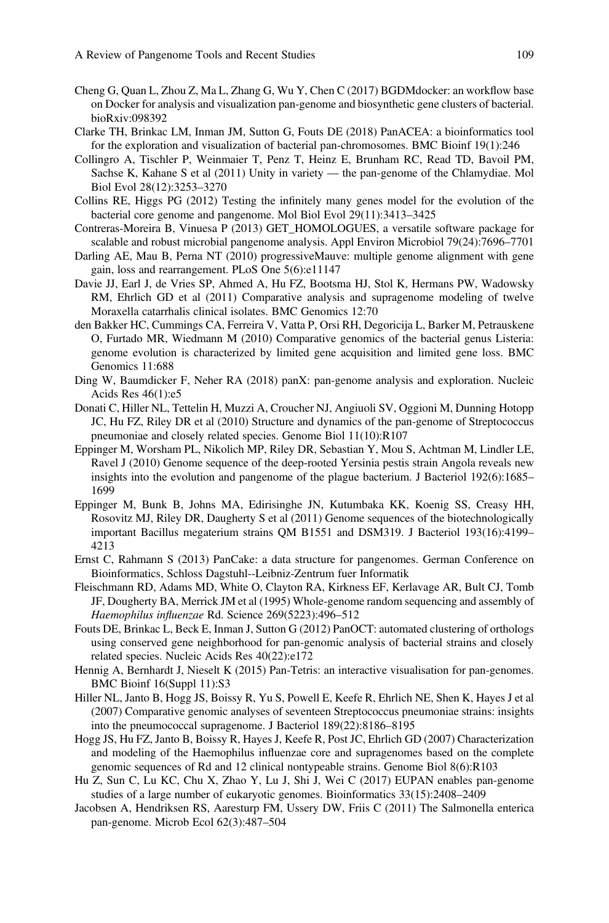- <span id="page-20-11"></span>Cheng G, Quan L, Zhou Z, Ma L, Zhang G, Wu Y, Chen C (2017) BGDMdocker: an workflow base on Docker for analysis and visualization pan-genome and biosynthetic gene clusters of bacterial. bioRxiv:098392
- <span id="page-20-16"></span>Clarke TH, Brinkac LM, Inman JM, Sutton G, Fouts DE (2018) PanACEA: a bioinformatics tool for the exploration and visualization of bacterial pan-chromosomes. BMC Bioinf 19(1):246
- <span id="page-20-10"></span>Collingro A, Tischler P, Weinmaier T, Penz T, Heinz E, Brunham RC, Read TD, Bavoil PM, Sachse K, Kahane S et al (2011) Unity in variety — the pan-genome of the Chlamydiae. Mol Biol Evol 28(12):3253–3270
- <span id="page-20-9"></span>Collins RE, Higgs PG (2012) Testing the infinitely many genes model for the evolution of the bacterial core genome and pangenome. Mol Biol Evol 29(11):3413–3425
- <span id="page-20-14"></span>Contreras-Moreira B, Vinuesa P (2013) GET\_HOMOLOGUES, a versatile software package for scalable and robust microbial pangenome analysis. Appl Environ Microbiol 79(24):7696–7701
- <span id="page-20-19"></span>Darling AE, Mau B, Perna NT (2010) progressiveMauve: multiple genome alignment with gene gain, loss and rearrangement. PLoS One 5(6):e11147
- <span id="page-20-5"></span>Davie JJ, Earl J, de Vries SP, Ahmed A, Hu FZ, Bootsma HJ, Stol K, Hermans PW, Wadowsky RM, Ehrlich GD et al (2011) Comparative analysis and supragenome modeling of twelve Moraxella catarrhalis clinical isolates. BMC Genomics 12:70
- <span id="page-20-7"></span>den Bakker HC, Cummings CA, Ferreira V, Vatta P, Orsi RH, Degoricija L, Barker M, Petrauskene O, Furtado MR, Wiedmann M (2010) Comparative genomics of the bacterial genus Listeria: genome evolution is characterized by limited gene acquisition and limited gene loss. BMC Genomics 11:688
- <span id="page-20-12"></span>Ding W, Baumdicker F, Neher RA (2018) panX: pan-genome analysis and exploration. Nucleic Acids Res 46(1):e5
- <span id="page-20-4"></span>Donati C, Hiller NL, Tettelin H, Muzzi A, Croucher NJ, Angiuoli SV, Oggioni M, Dunning Hotopp JC, Hu FZ, Riley DR et al (2010) Structure and dynamics of the pan-genome of Streptococcus pneumoniae and closely related species. Genome Biol 11(10):R107
- <span id="page-20-2"></span>Eppinger M, Worsham PL, Nikolich MP, Riley DR, Sebastian Y, Mou S, Achtman M, Lindler LE, Ravel J (2010) Genome sequence of the deep-rooted Yersinia pestis strain Angola reveals new insights into the evolution and pangenome of the plague bacterium. J Bacteriol 192(6):1685– 1699
- <span id="page-20-6"></span>Eppinger M, Bunk B, Johns MA, Edirisinghe JN, Kutumbaka KK, Koenig SS, Creasy HH, Rosovitz MJ, Riley DR, Daugherty S et al (2011) Genome sequences of the biotechnologically important Bacillus megaterium strains QM B1551 and DSM319. J Bacteriol 193(16):4199– 4213
- <span id="page-20-17"></span>Ernst C, Rahmann S (2013) PanCake: a data structure for pangenomes. German Conference on Bioinformatics, Schloss Dagstuhl--Leibniz-Zentrum fuer Informatik
- <span id="page-20-0"></span>Fleischmann RD, Adams MD, White O, Clayton RA, Kirkness EF, Kerlavage AR, Bult CJ, Tomb JF, Dougherty BA, Merrick JM et al (1995) Whole-genome random sequencing and assembly of Haemophilus influenzae Rd. Science 269(5223):496–512
- <span id="page-20-15"></span>Fouts DE, Brinkac L, Beck E, Inman J, Sutton G (2012) PanOCT: automated clustering of orthologs using conserved gene neighborhood for pan-genomic analysis of bacterial strains and closely related species. Nucleic Acids Res 40(22):e172
- <span id="page-20-18"></span>Hennig A, Bernhardt J, Nieselt K (2015) Pan-Tetris: an interactive visualisation for pan-genomes. BMC Bioinf 16(Suppl 11):S3
- <span id="page-20-1"></span>Hiller NL, Janto B, Hogg JS, Boissy R, Yu S, Powell E, Keefe R, Ehrlich NE, Shen K, Hayes J et al (2007) Comparative genomic analyses of seventeen Streptococcus pneumoniae strains: insights into the pneumococcal supragenome. J Bacteriol 189(22):8186–8195
- <span id="page-20-3"></span>Hogg JS, Hu FZ, Janto B, Boissy R, Hayes J, Keefe R, Post JC, Ehrlich GD (2007) Characterization and modeling of the Haemophilus influenzae core and supragenomes based on the complete genomic sequences of Rd and 12 clinical nontypeable strains. Genome Biol 8(6):R103
- <span id="page-20-13"></span>Hu Z, Sun C, Lu KC, Chu X, Zhao Y, Lu J, Shi J, Wei C (2017) EUPAN enables pan-genome studies of a large number of eukaryotic genomes. Bioinformatics 33(15):2408–2409
- <span id="page-20-8"></span>Jacobsen A, Hendriksen RS, Aaresturp FM, Ussery DW, Friis C (2011) The Salmonella enterica pan-genome. Microb Ecol 62(3):487–504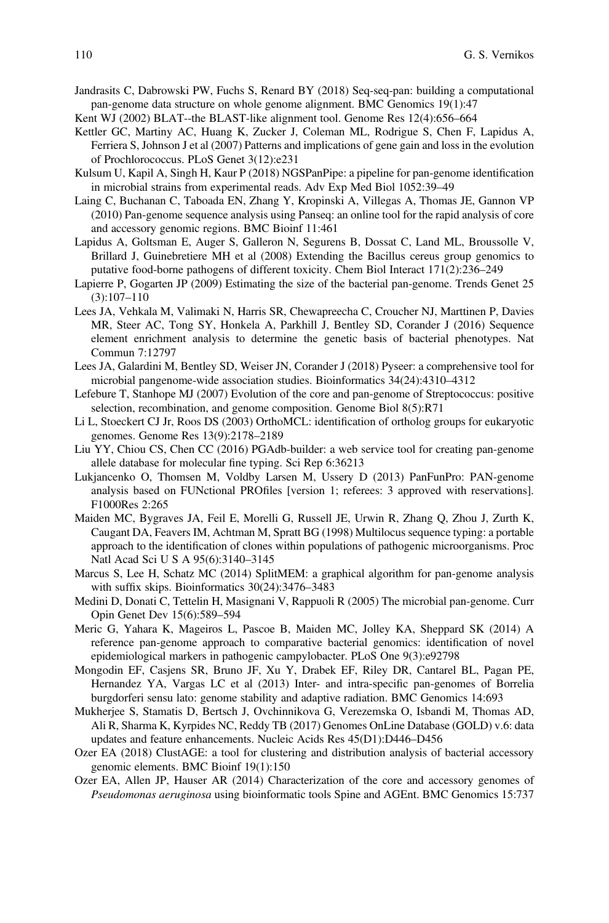- <span id="page-21-17"></span>Jandrasits C, Dabrowski PW, Fuchs S, Renard BY (2018) Seq-seq-pan: building a computational pan-genome data structure on whole genome alignment. BMC Genomics 19(1):47
- <span id="page-21-9"></span>Kent WJ (2002) BLAT--the BLAST-like alignment tool. Genome Res 12(4):656–664
- <span id="page-21-7"></span>Kettler GC, Martiny AC, Huang K, Zucker J, Coleman ML, Rodrigue S, Chen F, Lapidus A, Ferriera S, Johnson J et al (2007) Patterns and implications of gene gain and loss in the evolution of Prochlorococcus. PLoS Genet 3(12):e231
- <span id="page-21-10"></span>Kulsum U, Kapil A, Singh H, Kaur P (2018) NGSPanPipe: a pipeline for pan-genome identification in microbial strains from experimental reads. Adv Exp Med Biol 1052:39–49
- <span id="page-21-13"></span>Laing C, Buchanan C, Taboada EN, Zhang Y, Kropinski A, Villegas A, Thomas JE, Gannon VP (2010) Pan-genome sequence analysis using Panseq: an online tool for the rapid analysis of core and accessory genomic regions. BMC Bioinf 11:461
- <span id="page-21-6"></span>Lapidus A, Goltsman E, Auger S, Galleron N, Segurens B, Dossat C, Land ML, Broussolle V, Brillard J, Guinebretiere MH et al (2008) Extending the Bacillus cereus group genomics to putative food-borne pathogens of different toxicity. Chem Biol Interact 171(2):236–249
- <span id="page-21-1"></span>Lapierre P, Gogarten JP (2009) Estimating the size of the bacterial pan-genome. Trends Genet 25 (3):107–110
- <span id="page-21-16"></span>Lees JA, Vehkala M, Valimaki N, Harris SR, Chewapreecha C, Croucher NJ, Marttinen P, Davies MR, Steer AC, Tong SY, Honkela A, Parkhill J, Bentley SD, Corander J (2016) Sequence element enrichment analysis to determine the genetic basis of bacterial phenotypes. Nat Commun 7:12797
- <span id="page-21-15"></span>Lees JA, Galardini M, Bentley SD, Weiser JN, Corander J (2018) Pyseer: a comprehensive tool for microbial pangenome-wide association studies. Bioinformatics 34(24):4310–4312
- <span id="page-21-4"></span>Lefebure T, Stanhope MJ (2007) Evolution of the core and pan-genome of Streptococcus: positive selection, recombination, and genome composition. Genome Biol 8(5):R71
- <span id="page-21-12"></span>Li L, Stoeckert CJ Jr, Roos DS (2003) OrthoMCL: identification of ortholog groups for eukaryotic genomes. Genome Res 13(9):2178–2189
- <span id="page-21-14"></span>Liu YY, Chiou CS, Chen CC (2016) PGAdb-builder: a web service tool for creating pan-genome allele database for molecular fine typing. Sci Rep 6:36213
- <span id="page-21-11"></span>Lukjancenko O, Thomsen M, Voldby Larsen M, Ussery D (2013) PanFunPro: PAN-genome analysis based on FUNctional PROfiles [version 1; referees: 3 approved with reservations]. F1000Res 2:265
- <span id="page-21-20"></span>Maiden MC, Bygraves JA, Feil E, Morelli G, Russell JE, Urwin R, Zhang Q, Zhou J, Zurth K, Caugant DA, Feavers IM, Achtman M, Spratt BG (1998) Multilocus sequence typing: a portable approach to the identification of clones within populations of pathogenic microorganisms. Proc Natl Acad Sci U S A 95(6):3140–3145
- <span id="page-21-19"></span>Marcus S, Lee H, Schatz MC (2014) SplitMEM: a graphical algorithm for pan-genome analysis with suffix skips. Bioinformatics 30(24):3476–3483
- <span id="page-21-0"></span>Medini D, Donati C, Tettelin H, Masignani V, Rappuoli R (2005) The microbial pan-genome. Curr Opin Genet Dev 15(6):589–594
- <span id="page-21-5"></span>Meric G, Yahara K, Mageiros L, Pascoe B, Maiden MC, Jolley KA, Sheppard SK (2014) A reference pan-genome approach to comparative bacterial genomics: identification of novel epidemiological markers in pathogenic campylobacter. PLoS One 9(3):e92798
- <span id="page-21-3"></span>Mongodin EF, Casjens SR, Bruno JF, Xu Y, Drabek EF, Riley DR, Cantarel BL, Pagan PE, Hernandez YA, Vargas LC et al (2013) Inter- and intra-specific pan-genomes of Borrelia burgdorferi sensu lato: genome stability and adaptive radiation. BMC Genomics 14:693
- <span id="page-21-2"></span>Mukherjee S, Stamatis D, Bertsch J, Ovchinnikova G, Verezemska O, Isbandi M, Thomas AD, Ali R, Sharma K, Kyrpides NC, Reddy TB (2017) Genomes OnLine Database (GOLD) v.6: data updates and feature enhancements. Nucleic Acids Res 45(D1):D446–D456
- <span id="page-21-8"></span>Ozer EA (2018) ClustAGE: a tool for clustering and distribution analysis of bacterial accessory genomic elements. BMC Bioinf 19(1):150
- <span id="page-21-18"></span>Ozer EA, Allen JP, Hauser AR (2014) Characterization of the core and accessory genomes of Pseudomonas aeruginosa using bioinformatic tools Spine and AGEnt. BMC Genomics 15:737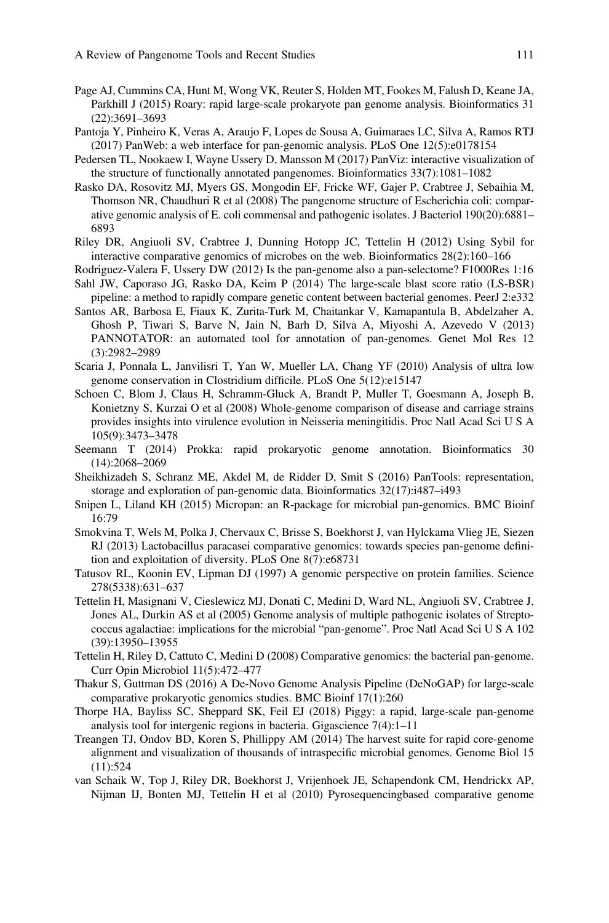- <span id="page-22-15"></span>Page AJ, Cummins CA, Hunt M, Wong VK, Reuter S, Holden MT, Fookes M, Falush D, Keane JA, Parkhill J (2015) Roary: rapid large-scale prokaryote pan genome analysis. Bioinformatics 31 (22):3691–3693
- <span id="page-22-19"></span>Pantoja Y, Pinheiro K, Veras A, Araujo F, Lopes de Sousa A, Guimaraes LC, Silva A, Ramos RTJ (2017) PanWeb: a web interface for pan-genomic analysis. PLoS One 12(5):e0178154
- <span id="page-22-18"></span>Pedersen TL, Nookaew I, Wayne Ussery D, Mansson M (2017) PanViz: interactive visualization of the structure of functionally annotated pangenomes. Bioinformatics 33(7):1081–1082
- <span id="page-22-5"></span>Rasko DA, Rosovitz MJ, Myers GS, Mongodin EF, Fricke WF, Gajer P, Crabtree J, Sebaihia M, Thomson NR, Chaudhuri R et al (2008) The pangenome structure of Escherichia coli: comparative genomic analysis of E. coli commensal and pathogenic isolates. J Bacteriol 190(20):6881– 6893
- <span id="page-22-9"></span>Riley DR, Angiuoli SV, Crabtree J, Dunning Hotopp JC, Tettelin H (2012) Using Sybil for interactive comparative genomics of microbes on the web. Bioinformatics 28(2):160–166
- <span id="page-22-1"></span>Rodriguez-Valera F, Ussery DW (2012) Is the pan-genome also a pan-selectome? F1000Res 1:16
- <span id="page-22-13"></span>Sahl JW, Caporaso JG, Rasko DA, Keim P (2014) The large-scale blast score ratio (LS-BSR) pipeline: a method to rapidly compare genetic content between bacterial genomes. PeerJ 2:e332
- <span id="page-22-16"></span>Santos AR, Barbosa E, Fiaux K, Zurita-Turk M, Chaitankar V, Kamapantula B, Abdelzaher A, Ghosh P, Tiwari S, Barve N, Jain N, Barh D, Silva A, Miyoshi A, Azevedo V (2013) PANNOTATOR: an automated tool for annotation of pan-genomes. Genet Mol Res 12 (3):2982–2989
- <span id="page-22-7"></span>Scaria J, Ponnala L, Janvilisri T, Yan W, Mueller LA, Chang YF (2010) Analysis of ultra low genome conservation in Clostridium difficile. PLoS One 5(12):e15147
- <span id="page-22-4"></span>Schoen C, Blom J, Claus H, Schramm-Gluck A, Brandt P, Muller T, Goesmann A, Joseph B, Konietzny S, Kurzai O et al (2008) Whole-genome comparison of disease and carriage strains provides insights into virulence evolution in Neisseria meningitidis. Proc Natl Acad Sci U S A 105(9):3473–3478
- <span id="page-22-10"></span>Seemann T (2014) Prokka: rapid prokaryotic genome annotation. Bioinformatics 30 (14):2068–2069
- <span id="page-22-17"></span>Sheikhizadeh S, Schranz ME, Akdel M, de Ridder D, Smit S (2016) PanTools: representation, storage and exploration of pan-genomic data. Bioinformatics 32(17):i487–i493
- <span id="page-22-14"></span>Snipen L, Liland KH (2015) Micropan: an R-package for microbial pan-genomics. BMC Bioinf 16:79
- <span id="page-22-8"></span>Smokvina T, Wels M, Polka J, Chervaux C, Brisse S, Boekhorst J, van Hylckama Vlieg JE, Siezen RJ (2013) Lactobacillus paracasei comparative genomics: towards species pan-genome definition and exploitation of diversity. PLoS One 8(7):e68731
- <span id="page-22-3"></span>Tatusov RL, Koonin EV, Lipman DJ (1997) A genomic perspective on protein families. Science 278(5338):631–637
- <span id="page-22-0"></span>Tettelin H, Masignani V, Cieslewicz MJ, Donati C, Medini D, Ward NL, Angiuoli SV, Crabtree J, Jones AL, Durkin AS et al (2005) Genome analysis of multiple pathogenic isolates of Streptococcus agalactiae: implications for the microbial "pan-genome". Proc Natl Acad Sci U S A 102 (39):13950–13955
- <span id="page-22-2"></span>Tettelin H, Riley D, Cattuto C, Medini D (2008) Comparative genomics: the bacterial pan-genome. Curr Opin Microbiol 11(5):472–477
- <span id="page-22-11"></span>Thakur S, Guttman DS (2016) A De-Novo Genome Analysis Pipeline (DeNoGAP) for large-scale comparative prokaryotic genomics studies. BMC Bioinf 17(1):260
- <span id="page-22-20"></span>Thorpe HA, Bayliss SC, Sheppard SK, Feil EJ (2018) Piggy: a rapid, large-scale pan-genome analysis tool for intergenic regions in bacteria. Gigascience 7(4):1–11
- <span id="page-22-12"></span>Treangen TJ, Ondov BD, Koren S, Phillippy AM (2014) The harvest suite for rapid core-genome alignment and visualization of thousands of intraspecific microbial genomes. Genome Biol 15 (11):524
- <span id="page-22-6"></span>van Schaik W, Top J, Riley DR, Boekhorst J, Vrijenhoek JE, Schapendonk CM, Hendrickx AP, Nijman IJ, Bonten MJ, Tettelin H et al (2010) Pyrosequencingbased comparative genome